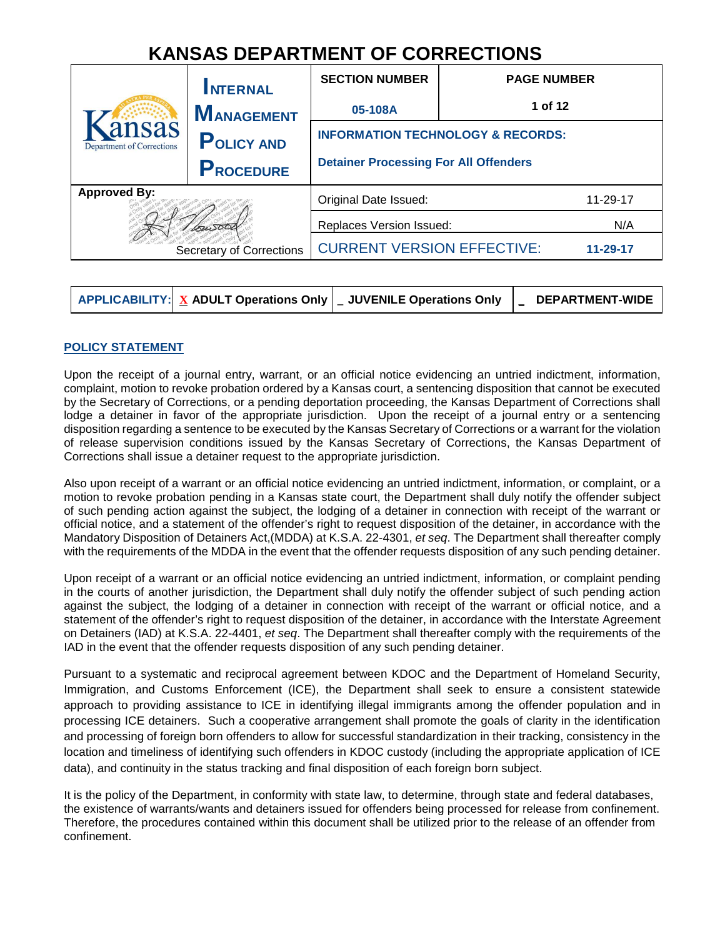# **KANSAS DEPARTMENT OF CORRECTIONS**

|                                                        | <b>INTERNAL</b>   | <b>SECTION NUMBER</b>                         | <b>PAGE NUMBER</b> |  |  |
|--------------------------------------------------------|-------------------|-----------------------------------------------|--------------------|--|--|
|                                                        | <b>MANAGEMENT</b> | 05-108A                                       | 1 of 12            |  |  |
| ansas<br><b>Department of Corrections</b>              | <b>POLICY AND</b> | <b>INFORMATION TECHNOLOGY &amp; RECORDS:</b>  |                    |  |  |
|                                                        | <b>PROCEDURE</b>  | <b>Detainer Processing For All Offenders</b>  |                    |  |  |
| <b>Approved By:</b><br><b>Secretary of Corrections</b> |                   | Original Date Issued:                         | 11-29-17           |  |  |
|                                                        |                   | Replaces Version Issued:                      |                    |  |  |
|                                                        |                   | <b>CURRENT VERSION EFFECTIVE:</b><br>11-29-17 |                    |  |  |

|  | $\mid$ APPLICABILITY: $\mid$ $\underline{X}$ ADULT Operations Only $\mid$ _ JUVENILE Operations Only | <b>DEPARTMENT-WIDE</b> |
|--|------------------------------------------------------------------------------------------------------|------------------------|
|  |                                                                                                      |                        |

# **POLICY STATEMENT**

Upon the receipt of a journal entry, warrant, or an official notice evidencing an untried indictment, information, complaint, motion to revoke probation ordered by a Kansas court, a sentencing disposition that cannot be executed by the Secretary of Corrections, or a pending deportation proceeding, the Kansas Department of Corrections shall lodge a detainer in favor of the appropriate jurisdiction. Upon the receipt of a journal entry or a sentencing disposition regarding a sentence to be executed by the Kansas Secretary of Corrections or a warrant for the violation of release supervision conditions issued by the Kansas Secretary of Corrections, the Kansas Department of Corrections shall issue a detainer request to the appropriate jurisdiction.

Also upon receipt of a warrant or an official notice evidencing an untried indictment, information, or complaint, or a motion to revoke probation pending in a Kansas state court, the Department shall duly notify the offender subject of such pending action against the subject, the lodging of a detainer in connection with receipt of the warrant or official notice, and a statement of the offender's right to request disposition of the detainer, in accordance with the Mandatory Disposition of Detainers Act,(MDDA) at K.S.A. 22-4301, et seq. The Department shall thereafter comply with the requirements of the MDDA in the event that the offender requests disposition of any such pending detainer.

Upon receipt of a warrant or an official notice evidencing an untried indictment, information, or complaint pending in the courts of another jurisdiction, the Department shall duly notify the offender subject of such pending action against the subject, the lodging of a detainer in connection with receipt of the warrant or official notice, and a statement of the offender's right to request disposition of the detainer, in accordance with the Interstate Agreement on Detainers (IAD) at K.S.A. 22-4401, et seq. The Department shall thereafter comply with the requirements of the IAD in the event that the offender requests disposition of any such pending detainer.

Pursuant to a systematic and reciprocal agreement between KDOC and the Department of Homeland Security, Immigration, and Customs Enforcement (ICE), the Department shall seek to ensure a consistent statewide approach to providing assistance to ICE in identifying illegal immigrants among the offender population and in processing ICE detainers. Such a cooperative arrangement shall promote the goals of clarity in the identification and processing of foreign born offenders to allow for successful standardization in their tracking, consistency in the location and timeliness of identifying such offenders in KDOC custody (including the appropriate application of ICE data), and continuity in the status tracking and final disposition of each foreign born subject.

It is the policy of the Department, in conformity with state law, to determine, through state and federal databases, the existence of warrants/wants and detainers issued for offenders being processed for release from confinement. Therefore, the procedures contained within this document shall be utilized prior to the release of an offender from confinement.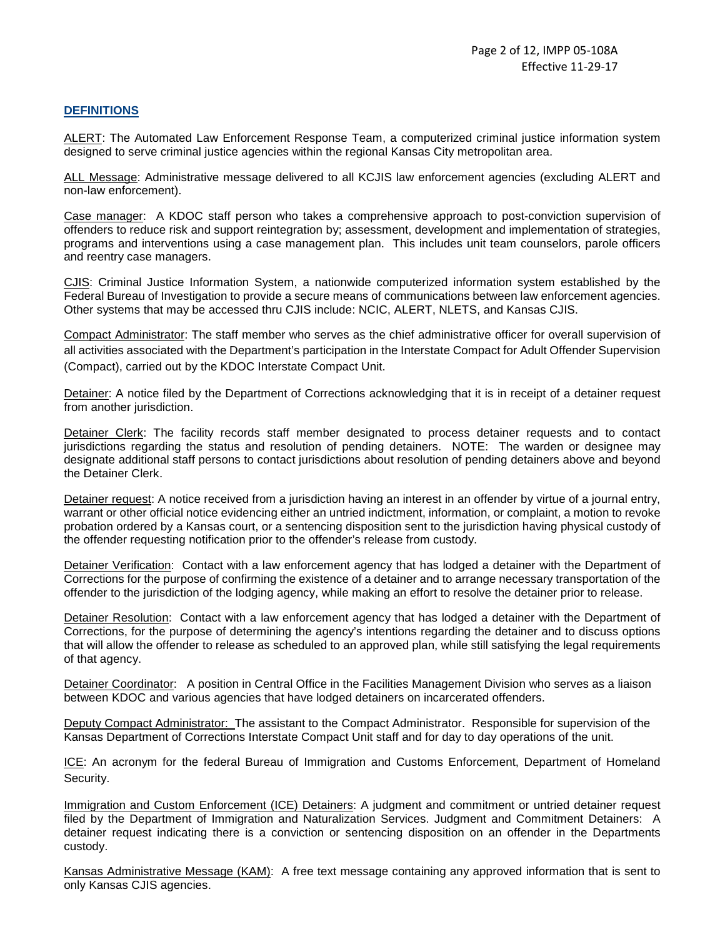# **DEFINITIONS**

ALERT: The Automated Law Enforcement Response Team, a computerized criminal justice information system designed to serve criminal justice agencies within the regional Kansas City metropolitan area.

ALL Message: Administrative message delivered to all KCJIS law enforcement agencies (excluding ALERT and non-law enforcement).

Case manager: A KDOC staff person who takes a comprehensive approach to post-conviction supervision of offenders to reduce risk and support reintegration by; assessment, development and implementation of strategies, programs and interventions using a case management plan. This includes unit team counselors, parole officers and reentry case managers.

CJIS: Criminal Justice Information System, a nationwide computerized information system established by the Federal Bureau of Investigation to provide a secure means of communications between law enforcement agencies. Other systems that may be accessed thru CJIS include: NCIC, ALERT, NLETS, and Kansas CJIS.

Compact Administrator: The staff member who serves as the chief administrative officer for overall supervision of all activities associated with the Department's participation in the Interstate Compact for Adult Offender Supervision (Compact), carried out by the KDOC Interstate Compact Unit.

Detainer: A notice filed by the Department of Corrections acknowledging that it is in receipt of a detainer request from another jurisdiction.

Detainer Clerk: The facility records staff member designated to process detainer requests and to contact jurisdictions regarding the status and resolution of pending detainers. NOTE: The warden or designee may designate additional staff persons to contact jurisdictions about resolution of pending detainers above and beyond the Detainer Clerk.

Detainer request: A notice received from a jurisdiction having an interest in an offender by virtue of a journal entry, warrant or other official notice evidencing either an untried indictment, information, or complaint, a motion to revoke probation ordered by a Kansas court, or a sentencing disposition sent to the jurisdiction having physical custody of the offender requesting notification prior to the offender's release from custody.

Detainer Verification: Contact with a law enforcement agency that has lodged a detainer with the Department of Corrections for the purpose of confirming the existence of a detainer and to arrange necessary transportation of the offender to the jurisdiction of the lodging agency, while making an effort to resolve the detainer prior to release.

Detainer Resolution: Contact with a law enforcement agency that has lodged a detainer with the Department of Corrections, for the purpose of determining the agency's intentions regarding the detainer and to discuss options that will allow the offender to release as scheduled to an approved plan, while still satisfying the legal requirements of that agency.

Detainer Coordinator: A position in Central Office in the Facilities Management Division who serves as a liaison between KDOC and various agencies that have lodged detainers on incarcerated offenders.

Deputy Compact Administrator: The assistant to the Compact Administrator. Responsible for supervision of the Kansas Department of Corrections Interstate Compact Unit staff and for day to day operations of the unit.

ICE: An acronym for the federal Bureau of Immigration and Customs Enforcement, Department of Homeland Security.

Immigration and Custom Enforcement (ICE) Detainers: A judgment and commitment or untried detainer request filed by the Department of Immigration and Naturalization Services. Judgment and Commitment Detainers: A detainer request indicating there is a conviction or sentencing disposition on an offender in the Departments custody.

Kansas Administrative Message (KAM): A free text message containing any approved information that is sent to only Kansas CJIS agencies.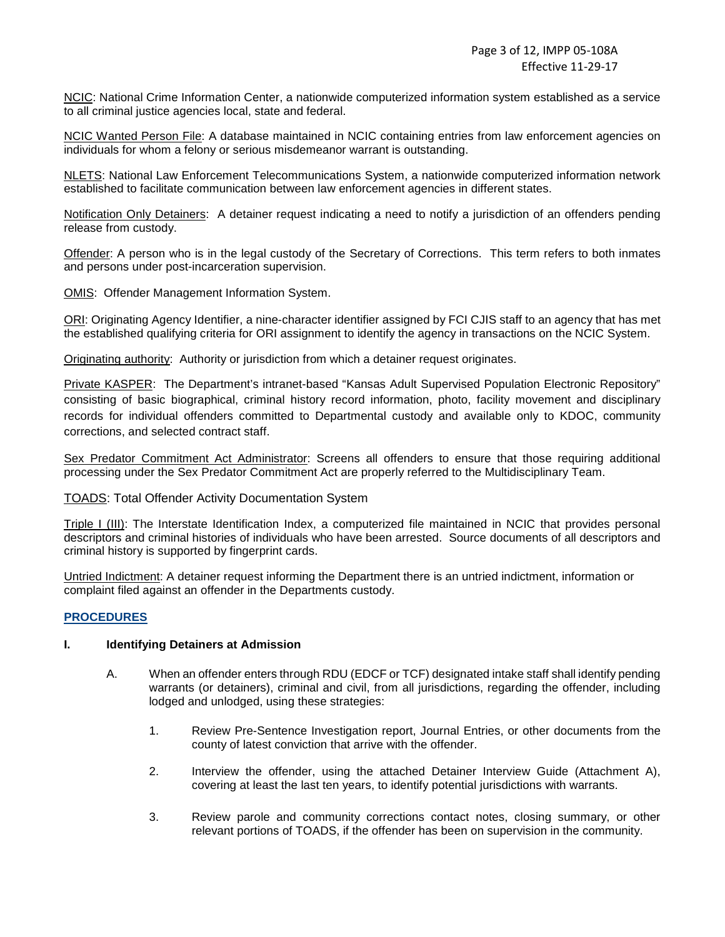NCIC: National Crime Information Center, a nationwide computerized information system established as a service to all criminal justice agencies local, state and federal.

NCIC Wanted Person File: A database maintained in NCIC containing entries from law enforcement agencies on individuals for whom a felony or serious misdemeanor warrant is outstanding.

NLETS: National Law Enforcement Telecommunications System, a nationwide computerized information network established to facilitate communication between law enforcement agencies in different states.

Notification Only Detainers: A detainer request indicating a need to notify a jurisdiction of an offenders pending release from custody.

Offender: A person who is in the legal custody of the Secretary of Corrections. This term refers to both inmates and persons under post-incarceration supervision.

OMIS: Offender Management Information System.

ORI: Originating Agency Identifier, a nine-character identifier assigned by FCI CJIS staff to an agency that has met the established qualifying criteria for ORI assignment to identify the agency in transactions on the NCIC System.

Originating authority: Authority or jurisdiction from which a detainer request originates.

Private KASPER: The Department's intranet-based "Kansas Adult Supervised Population Electronic Repository" consisting of basic biographical, criminal history record information, photo, facility movement and disciplinary records for individual offenders committed to Departmental custody and available only to KDOC, community corrections, and selected contract staff.

Sex Predator Commitment Act Administrator: Screens all offenders to ensure that those requiring additional processing under the Sex Predator Commitment Act are properly referred to the Multidisciplinary Team.

### TOADS: Total Offender Activity Documentation System

Triple I (III): The Interstate Identification Index, a computerized file maintained in NCIC that provides personal descriptors and criminal histories of individuals who have been arrested. Source documents of all descriptors and criminal history is supported by fingerprint cards.

Untried Indictment: A detainer request informing the Department there is an untried indictment, information or complaint filed against an offender in the Departments custody.

### **PROCEDURES**

#### **I. Identifying Detainers at Admission**

- A. When an offender enters through RDU (EDCF or TCF) designated intake staff shall identify pending warrants (or detainers), criminal and civil, from all jurisdictions, regarding the offender, including lodged and unlodged, using these strategies:
	- 1. Review Pre-Sentence Investigation report, Journal Entries, or other documents from the county of latest conviction that arrive with the offender.
	- 2. Interview the offender, using the attached Detainer Interview Guide (Attachment A), covering at least the last ten years, to identify potential jurisdictions with warrants.
	- 3. Review parole and community corrections contact notes, closing summary, or other relevant portions of TOADS, if the offender has been on supervision in the community.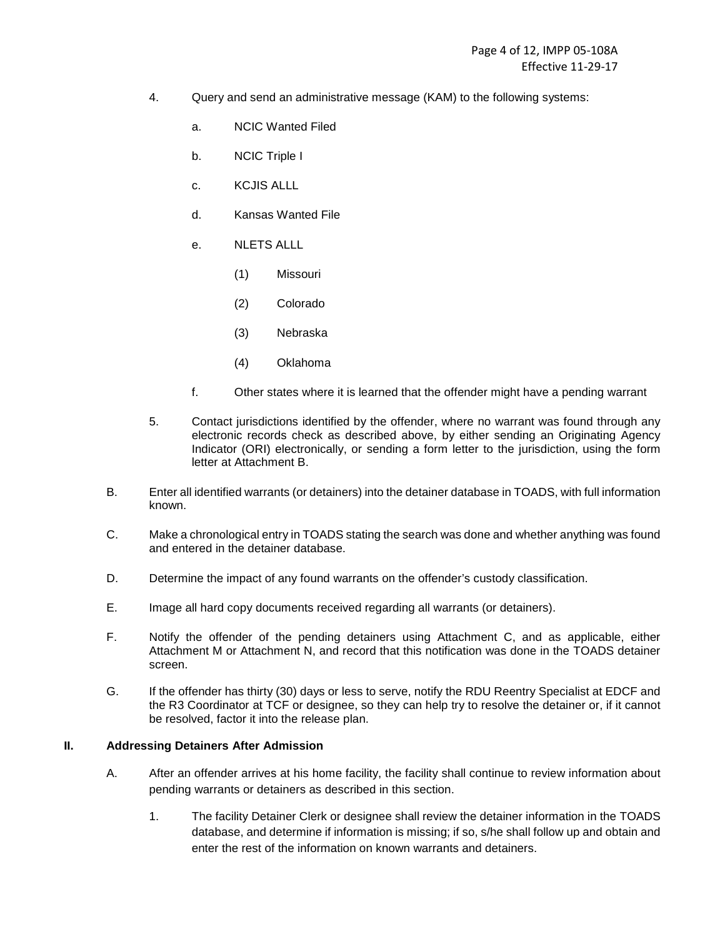- 4. Query and send an administrative message (KAM) to the following systems:
	- a. NCIC Wanted Filed
	- b. NCIC Triple I
	- c. KCJIS ALLL
	- d. Kansas Wanted File
	- e. NIFTS ALLL
		- (1) Missouri
		- (2) Colorado
		- (3) Nebraska
		- (4) Oklahoma
	- f. Other states where it is learned that the offender might have a pending warrant
- 5. Contact jurisdictions identified by the offender, where no warrant was found through any electronic records check as described above, by either sending an Originating Agency Indicator (ORI) electronically, or sending a form letter to the jurisdiction, using the form letter at Attachment B.
- B. Enter all identified warrants (or detainers) into the detainer database in TOADS, with full information known.
- C. Make a chronological entry in TOADS stating the search was done and whether anything was found and entered in the detainer database.
- D. Determine the impact of any found warrants on the offender's custody classification.
- E. Image all hard copy documents received regarding all warrants (or detainers).
- F. Notify the offender of the pending detainers using Attachment C, and as applicable, either Attachment M or Attachment N, and record that this notification was done in the TOADS detainer screen.
- G. If the offender has thirty (30) days or less to serve, notify the RDU Reentry Specialist at EDCF and the R3 Coordinator at TCF or designee, so they can help try to resolve the detainer or, if it cannot be resolved, factor it into the release plan.

### **II. Addressing Detainers After Admission**

- A. After an offender arrives at his home facility, the facility shall continue to review information about pending warrants or detainers as described in this section.
	- 1. The facility Detainer Clerk or designee shall review the detainer information in the TOADS database, and determine if information is missing; if so, s/he shall follow up and obtain and enter the rest of the information on known warrants and detainers.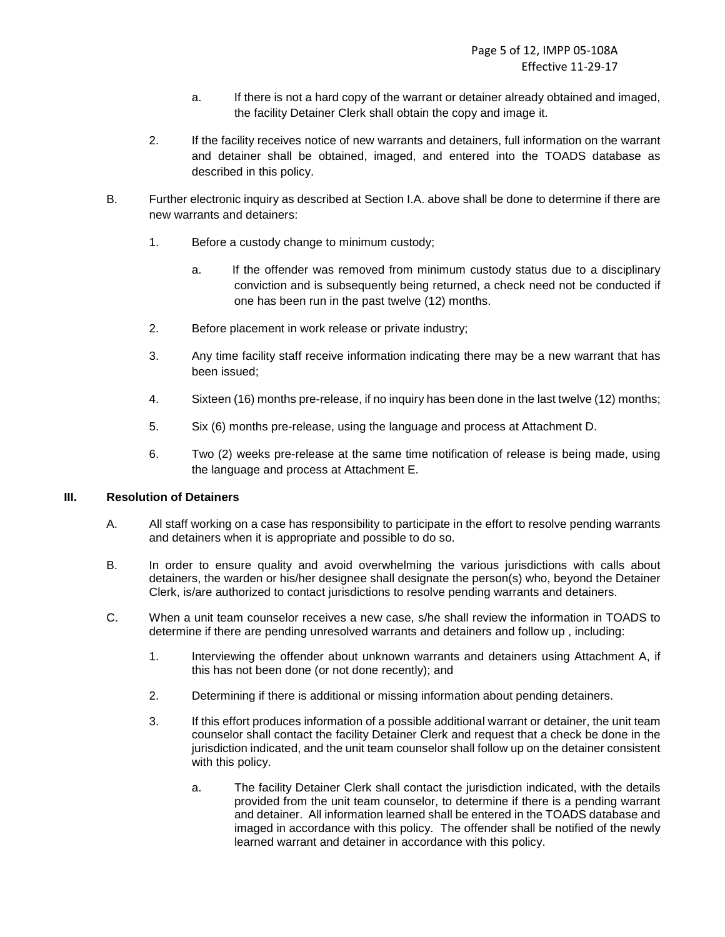- a. If there is not a hard copy of the warrant or detainer already obtained and imaged, the facility Detainer Clerk shall obtain the copy and image it.
- 2. If the facility receives notice of new warrants and detainers, full information on the warrant and detainer shall be obtained, imaged, and entered into the TOADS database as described in this policy.
- B. Further electronic inquiry as described at Section I.A. above shall be done to determine if there are new warrants and detainers:
	- 1. Before a custody change to minimum custody;
		- a. If the offender was removed from minimum custody status due to a disciplinary conviction and is subsequently being returned, a check need not be conducted if one has been run in the past twelve (12) months.
	- 2. Before placement in work release or private industry;
	- 3. Any time facility staff receive information indicating there may be a new warrant that has been issued;
	- 4. Sixteen (16) months pre-release, if no inquiry has been done in the last twelve (12) months;
	- 5. Six (6) months pre-release, using the language and process at Attachment D.
	- 6. Two (2) weeks pre-release at the same time notification of release is being made, using the language and process at Attachment E.

### **III. Resolution of Detainers**

- A. All staff working on a case has responsibility to participate in the effort to resolve pending warrants and detainers when it is appropriate and possible to do so.
- B. In order to ensure quality and avoid overwhelming the various jurisdictions with calls about detainers, the warden or his/her designee shall designate the person(s) who, beyond the Detainer Clerk, is/are authorized to contact jurisdictions to resolve pending warrants and detainers.
- C. When a unit team counselor receives a new case, s/he shall review the information in TOADS to determine if there are pending unresolved warrants and detainers and follow up , including:
	- 1. Interviewing the offender about unknown warrants and detainers using Attachment A, if this has not been done (or not done recently); and
	- 2. Determining if there is additional or missing information about pending detainers.
	- 3. If this effort produces information of a possible additional warrant or detainer, the unit team counselor shall contact the facility Detainer Clerk and request that a check be done in the jurisdiction indicated, and the unit team counselor shall follow up on the detainer consistent with this policy.
		- a. The facility Detainer Clerk shall contact the jurisdiction indicated, with the details provided from the unit team counselor, to determine if there is a pending warrant and detainer. All information learned shall be entered in the TOADS database and imaged in accordance with this policy. The offender shall be notified of the newly learned warrant and detainer in accordance with this policy.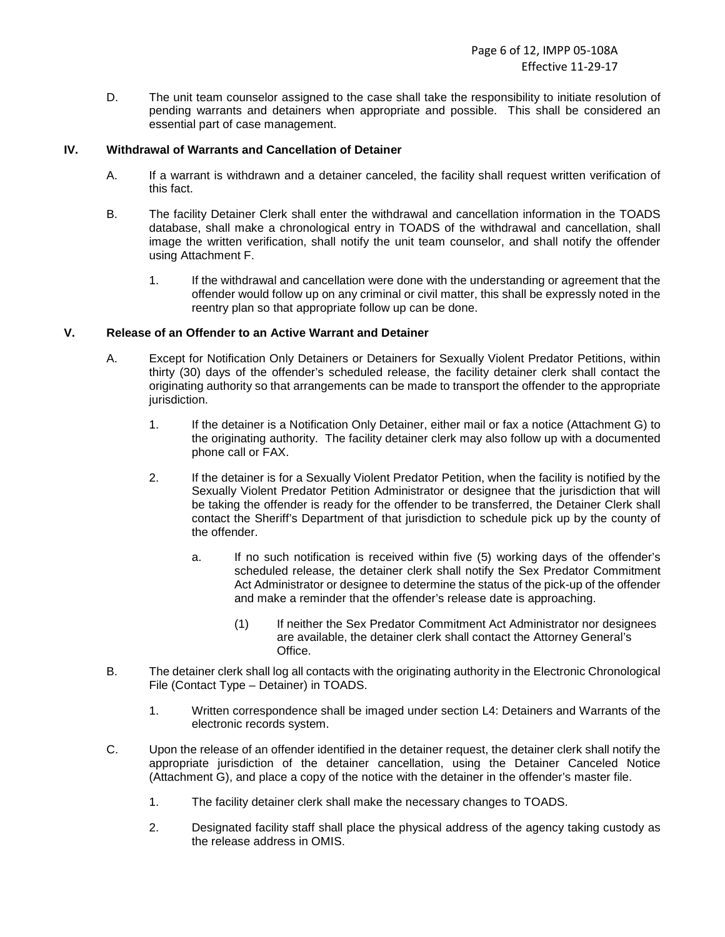D. The unit team counselor assigned to the case shall take the responsibility to initiate resolution of pending warrants and detainers when appropriate and possible. This shall be considered an essential part of case management.

# **IV. Withdrawal of Warrants and Cancellation of Detainer**

- A. If a warrant is withdrawn and a detainer canceled, the facility shall request written verification of this fact.
- B. The facility Detainer Clerk shall enter the withdrawal and cancellation information in the TOADS database, shall make a chronological entry in TOADS of the withdrawal and cancellation, shall image the written verification, shall notify the unit team counselor, and shall notify the offender using Attachment F.
	- 1. If the withdrawal and cancellation were done with the understanding or agreement that the offender would follow up on any criminal or civil matter, this shall be expressly noted in the reentry plan so that appropriate follow up can be done.

# **V. Release of an Offender to an Active Warrant and Detainer**

- A. Except for Notification Only Detainers or Detainers for Sexually Violent Predator Petitions, within thirty (30) days of the offender's scheduled release, the facility detainer clerk shall contact the originating authority so that arrangements can be made to transport the offender to the appropriate jurisdiction.
	- 1. If the detainer is a Notification Only Detainer, either mail or fax a notice (Attachment G) to the originating authority. The facility detainer clerk may also follow up with a documented phone call or FAX.
	- 2. If the detainer is for a Sexually Violent Predator Petition, when the facility is notified by the Sexually Violent Predator Petition Administrator or designee that the jurisdiction that will be taking the offender is ready for the offender to be transferred, the Detainer Clerk shall contact the Sheriff's Department of that jurisdiction to schedule pick up by the county of the offender.
		- a. If no such notification is received within five (5) working days of the offender's scheduled release, the detainer clerk shall notify the Sex Predator Commitment Act Administrator or designee to determine the status of the pick-up of the offender and make a reminder that the offender's release date is approaching.
			- (1) If neither the Sex Predator Commitment Act Administrator nor designees are available, the detainer clerk shall contact the Attorney General's Office.
- B. The detainer clerk shall log all contacts with the originating authority in the Electronic Chronological File (Contact Type – Detainer) in TOADS.
	- 1. Written correspondence shall be imaged under section L4: Detainers and Warrants of the electronic records system.
- C. Upon the release of an offender identified in the detainer request, the detainer clerk shall notify the appropriate jurisdiction of the detainer cancellation, using the Detainer Canceled Notice (Attachment G), and place a copy of the notice with the detainer in the offender's master file.
	- 1. The facility detainer clerk shall make the necessary changes to TOADS.
	- 2. Designated facility staff shall place the physical address of the agency taking custody as the release address in OMIS.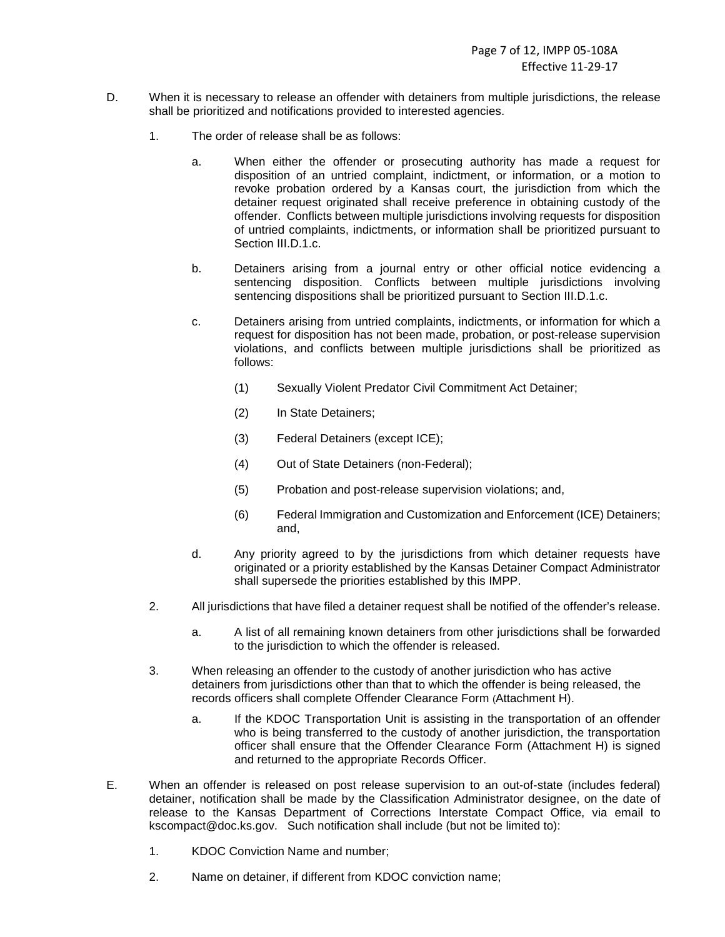- D. When it is necessary to release an offender with detainers from multiple jurisdictions, the release shall be prioritized and notifications provided to interested agencies.
	- 1. The order of release shall be as follows:
		- a. When either the offender or prosecuting authority has made a request for disposition of an untried complaint, indictment, or information, or a motion to revoke probation ordered by a Kansas court, the jurisdiction from which the detainer request originated shall receive preference in obtaining custody of the offender. Conflicts between multiple jurisdictions involving requests for disposition of untried complaints, indictments, or information shall be prioritized pursuant to Section III.D.1.c.
		- b. Detainers arising from a journal entry or other official notice evidencing a sentencing disposition. Conflicts between multiple jurisdictions involving sentencing dispositions shall be prioritized pursuant to Section III.D.1.c.
		- c. Detainers arising from untried complaints, indictments, or information for which a request for disposition has not been made, probation, or post-release supervision violations, and conflicts between multiple jurisdictions shall be prioritized as follows:
			- (1) Sexually Violent Predator Civil Commitment Act Detainer;
			- (2) In State Detainers;
			- (3) Federal Detainers (except ICE);
			- (4) Out of State Detainers (non-Federal);
			- (5) Probation and post-release supervision violations; and,
			- (6) Federal Immigration and Customization and Enforcement (ICE) Detainers; and,
		- d. Any priority agreed to by the jurisdictions from which detainer requests have originated or a priority established by the Kansas Detainer Compact Administrator shall supersede the priorities established by this IMPP.
	- 2. All jurisdictions that have filed a detainer request shall be notified of the offender's release.
		- a. A list of all remaining known detainers from other jurisdictions shall be forwarded to the jurisdiction to which the offender is released.
	- 3. When releasing an offender to the custody of another jurisdiction who has active detainers from jurisdictions other than that to which the offender is being released, the records officers shall complete Offender Clearance Form (Attachment H).
		- a. If the KDOC Transportation Unit is assisting in the transportation of an offender who is being transferred to the custody of another jurisdiction, the transportation officer shall ensure that the Offender Clearance Form (Attachment H) is signed and returned to the appropriate Records Officer.
- E. When an offender is released on post release supervision to an out-of-state (includes federal) detainer, notification shall be made by the Classification Administrator designee, on the date of release to the Kansas Department of Corrections Interstate Compact Office, via email to kscompact@doc.ks.gov. Such notification shall include (but not be limited to):
	- 1. KDOC Conviction Name and number;
	- 2. Name on detainer, if different from KDOC conviction name;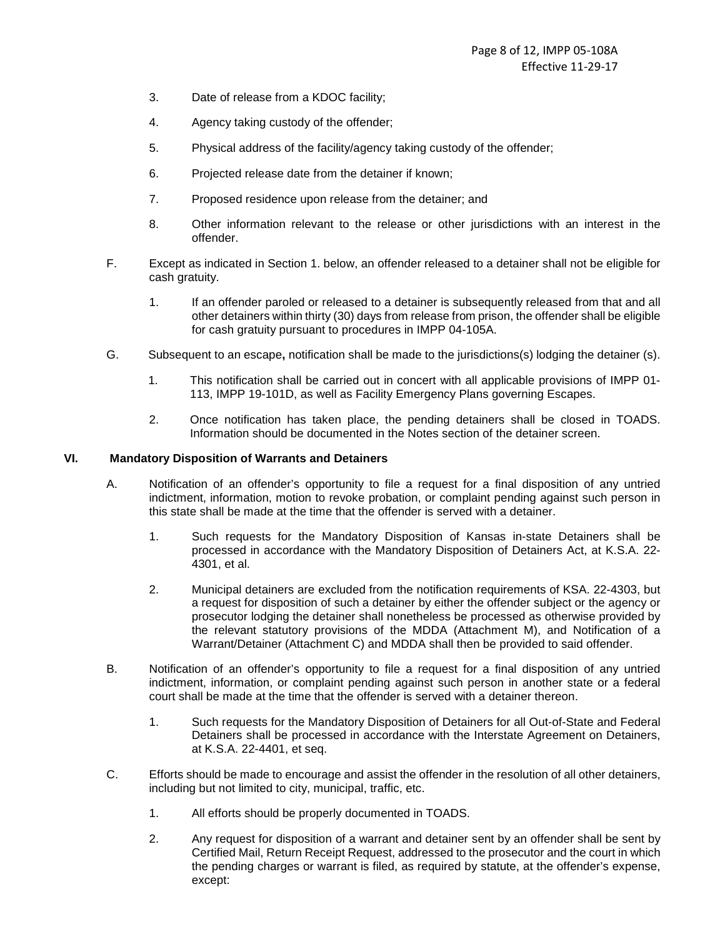- 3. Date of release from a KDOC facility;
- 4. Agency taking custody of the offender;
- 5. Physical address of the facility/agency taking custody of the offender;
- 6. Projected release date from the detainer if known;
- 7. Proposed residence upon release from the detainer; and
- 8. Other information relevant to the release or other jurisdictions with an interest in the offender.
- F. Except as indicated in Section 1. below, an offender released to a detainer shall not be eligible for cash gratuity.
	- 1. If an offender paroled or released to a detainer is subsequently released from that and all other detainers within thirty (30) days from release from prison, the offender shall be eligible for cash gratuity pursuant to procedures in IMPP 04-105A.
- G. Subsequent to an escape**,** notification shall be made to the jurisdictions(s) lodging the detainer (s).
	- 1. This notification shall be carried out in concert with all applicable provisions of IMPP 01- 113, IMPP 19-101D, as well as Facility Emergency Plans governing Escapes.
	- 2. Once notification has taken place, the pending detainers shall be closed in TOADS. Information should be documented in the Notes section of the detainer screen.

# **VI. Mandatory Disposition of Warrants and Detainers**

- A. Notification of an offender's opportunity to file a request for a final disposition of any untried indictment, information, motion to revoke probation, or complaint pending against such person in this state shall be made at the time that the offender is served with a detainer.
	- 1. Such requests for the Mandatory Disposition of Kansas in-state Detainers shall be processed in accordance with the Mandatory Disposition of Detainers Act, at K.S.A. 22- 4301, et al.
	- 2. Municipal detainers are excluded from the notification requirements of KSA. 22-4303, but a request for disposition of such a detainer by either the offender subject or the agency or prosecutor lodging the detainer shall nonetheless be processed as otherwise provided by the relevant statutory provisions of the MDDA (Attachment M), and Notification of a Warrant/Detainer (Attachment C) and MDDA shall then be provided to said offender.
- B. Notification of an offender's opportunity to file a request for a final disposition of any untried indictment, information, or complaint pending against such person in another state or a federal court shall be made at the time that the offender is served with a detainer thereon.
	- 1. Such requests for the Mandatory Disposition of Detainers for all Out-of-State and Federal Detainers shall be processed in accordance with the Interstate Agreement on Detainers, at K.S.A. 22-4401, et seq.
- C. Efforts should be made to encourage and assist the offender in the resolution of all other detainers, including but not limited to city, municipal, traffic, etc.
	- 1. All efforts should be properly documented in TOADS.
	- 2. Any request for disposition of a warrant and detainer sent by an offender shall be sent by Certified Mail, Return Receipt Request, addressed to the prosecutor and the court in which the pending charges or warrant is filed, as required by statute, at the offender's expense, except: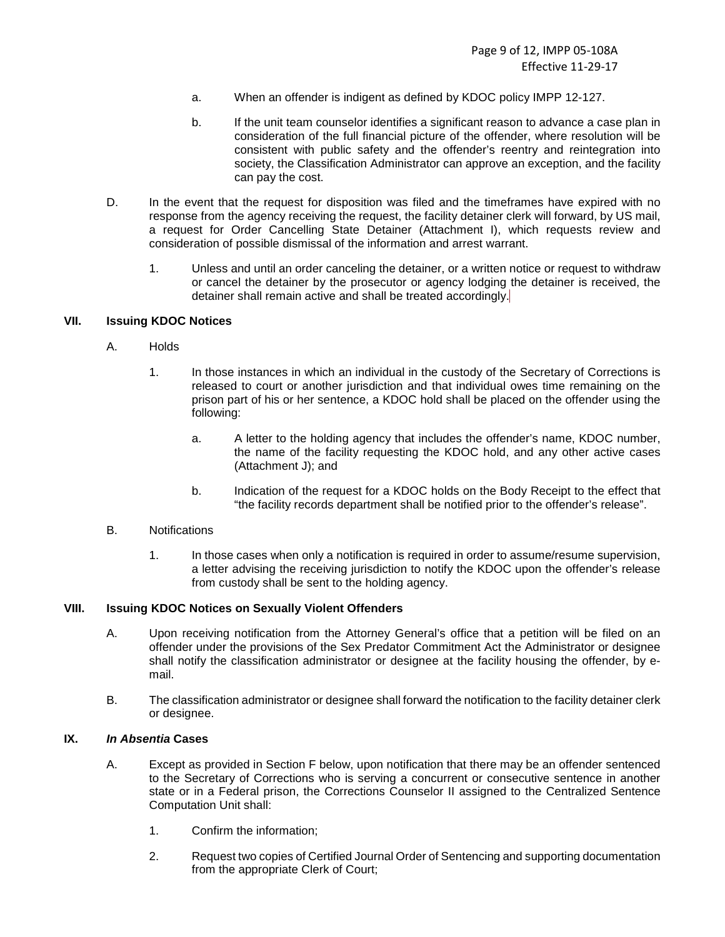- a. When an offender is indigent as defined by KDOC policy IMPP 12-127.
- b. If the unit team counselor identifies a significant reason to advance a case plan in consideration of the full financial picture of the offender, where resolution will be consistent with public safety and the offender's reentry and reintegration into society, the Classification Administrator can approve an exception, and the facility can pay the cost.
- D. In the event that the request for disposition was filed and the timeframes have expired with no response from the agency receiving the request, the facility detainer clerk will forward, by US mail, a request for Order Cancelling State Detainer (Attachment I), which requests review and consideration of possible dismissal of the information and arrest warrant.
	- 1. Unless and until an order canceling the detainer, or a written notice or request to withdraw or cancel the detainer by the prosecutor or agency lodging the detainer is received, the detainer shall remain active and shall be treated accordingly.

### **VII. Issuing KDOC Notices**

- A. Holds
	- 1. In those instances in which an individual in the custody of the Secretary of Corrections is released to court or another jurisdiction and that individual owes time remaining on the prison part of his or her sentence, a KDOC hold shall be placed on the offender using the following:
		- a. A letter to the holding agency that includes the offender's name, KDOC number, the name of the facility requesting the KDOC hold, and any other active cases (Attachment J); and
		- b. Indication of the request for a KDOC holds on the Body Receipt to the effect that "the facility records department shall be notified prior to the offender's release".
- B. Notifications
	- 1. In those cases when only a notification is required in order to assume/resume supervision, a letter advising the receiving jurisdiction to notify the KDOC upon the offender's release from custody shall be sent to the holding agency.

# **VIII. Issuing KDOC Notices on Sexually Violent Offenders**

- A. Upon receiving notification from the Attorney General's office that a petition will be filed on an offender under the provisions of the Sex Predator Commitment Act the Administrator or designee shall notify the classification administrator or designee at the facility housing the offender, by email.
- B. The classification administrator or designee shall forward the notification to the facility detainer clerk or designee.

#### **IX. In Absentia Cases**

- A. Except as provided in Section F below, upon notification that there may be an offender sentenced to the Secretary of Corrections who is serving a concurrent or consecutive sentence in another state or in a Federal prison, the Corrections Counselor II assigned to the Centralized Sentence Computation Unit shall:
	- 1. Confirm the information;
	- 2. Request two copies of Certified Journal Order of Sentencing and supporting documentation from the appropriate Clerk of Court;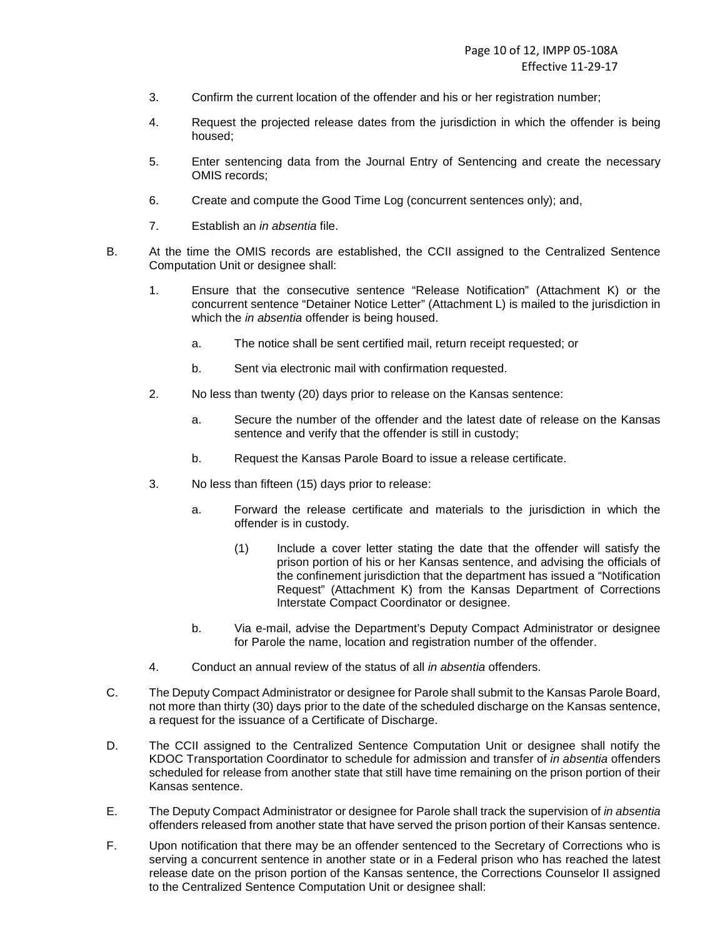- 3. Confirm the current location of the offender and his or her registration number;
- 4. Request the projected release dates from the jurisdiction in which the offender is being housed;
- 5. Enter sentencing data from the Journal Entry of Sentencing and create the necessary OMIS records;
- 6. Create and compute the Good Time Log (concurrent sentences only); and,
- 7. Establish an in absentia file.
- B. At the time the OMIS records are established, the CCII assigned to the Centralized Sentence Computation Unit or designee shall:
	- 1. Ensure that the consecutive sentence "Release Notification" (Attachment K) or the concurrent sentence "Detainer Notice Letter" (Attachment L) is mailed to the jurisdiction in which the *in absentia* offender is being housed.
		- a. The notice shall be sent certified mail, return receipt requested; or
		- b. Sent via electronic mail with confirmation requested.
	- 2. No less than twenty (20) days prior to release on the Kansas sentence:
		- a. Secure the number of the offender and the latest date of release on the Kansas sentence and verify that the offender is still in custody;
		- b. Request the Kansas Parole Board to issue a release certificate.
	- 3. No less than fifteen (15) days prior to release:
		- a. Forward the release certificate and materials to the jurisdiction in which the offender is in custody.
			- (1) Include a cover letter stating the date that the offender will satisfy the prison portion of his or her Kansas sentence, and advising the officials of the confinement jurisdiction that the department has issued a "Notification Request" (Attachment K) from the Kansas Department of Corrections Interstate Compact Coordinator or designee.
		- b. Via e-mail, advise the Department's Deputy Compact Administrator or designee for Parole the name, location and registration number of the offender.
	- 4. Conduct an annual review of the status of all in absentia offenders.
- C. The Deputy Compact Administrator or designee for Parole shall submit to the Kansas Parole Board, not more than thirty (30) days prior to the date of the scheduled discharge on the Kansas sentence, a request for the issuance of a Certificate of Discharge.
- D. The CCII assigned to the Centralized Sentence Computation Unit or designee shall notify the KDOC Transportation Coordinator to schedule for admission and transfer of in absentia offenders scheduled for release from another state that still have time remaining on the prison portion of their Kansas sentence.
- E. The Deputy Compact Administrator or designee for Parole shall track the supervision of in absentia offenders released from another state that have served the prison portion of their Kansas sentence.
- F. Upon notification that there may be an offender sentenced to the Secretary of Corrections who is serving a concurrent sentence in another state or in a Federal prison who has reached the latest release date on the prison portion of the Kansas sentence, the Corrections Counselor II assigned to the Centralized Sentence Computation Unit or designee shall: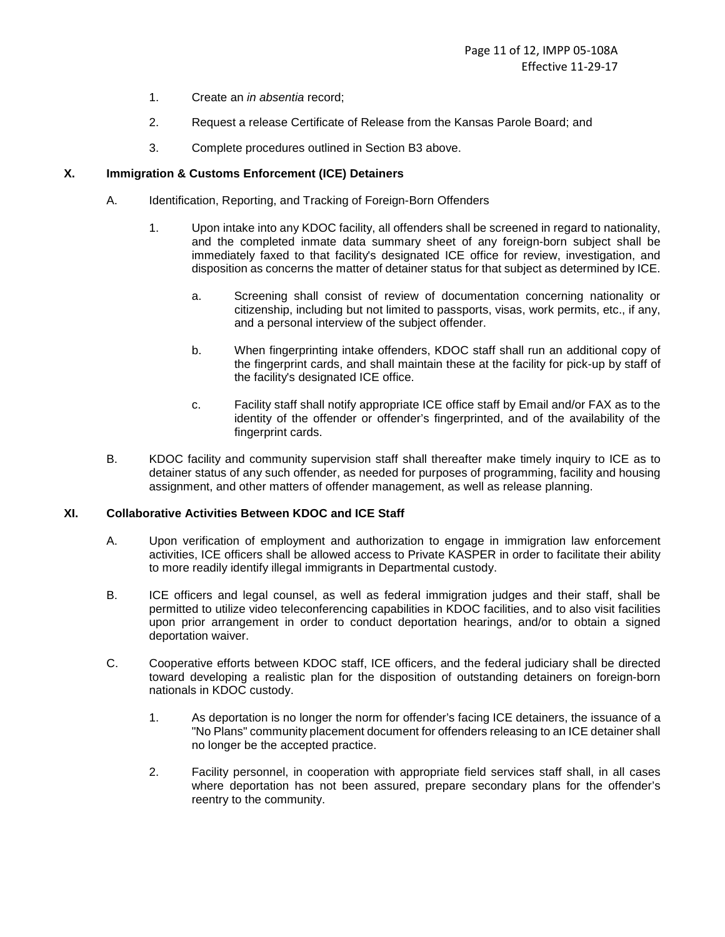- 1. Create an in absentia record;
- 2. Request a release Certificate of Release from the Kansas Parole Board; and
- 3. Complete procedures outlined in Section B3 above.

# **X. Immigration & Customs Enforcement (ICE) Detainers**

- A. Identification, Reporting, and Tracking of Foreign-Born Offenders
	- 1. Upon intake into any KDOC facility, all offenders shall be screened in regard to nationality, and the completed inmate data summary sheet of any foreign-born subject shall be immediately faxed to that facility's designated ICE office for review, investigation, and disposition as concerns the matter of detainer status for that subject as determined by ICE.
		- a. Screening shall consist of review of documentation concerning nationality or citizenship, including but not limited to passports, visas, work permits, etc., if any, and a personal interview of the subject offender.
		- b. When fingerprinting intake offenders, KDOC staff shall run an additional copy of the fingerprint cards, and shall maintain these at the facility for pick-up by staff of the facility's designated ICE office.
		- c. Facility staff shall notify appropriate ICE office staff by Email and/or FAX as to the identity of the offender or offender's fingerprinted, and of the availability of the fingerprint cards.
- B. KDOC facility and community supervision staff shall thereafter make timely inquiry to ICE as to detainer status of any such offender, as needed for purposes of programming, facility and housing assignment, and other matters of offender management, as well as release planning.

### **XI. Collaborative Activities Between KDOC and ICE Staff**

- A. Upon verification of employment and authorization to engage in immigration law enforcement activities, ICE officers shall be allowed access to Private KASPER in order to facilitate their ability to more readily identify illegal immigrants in Departmental custody.
- B. ICE officers and legal counsel, as well as federal immigration judges and their staff, shall be permitted to utilize video teleconferencing capabilities in KDOC facilities, and to also visit facilities upon prior arrangement in order to conduct deportation hearings, and/or to obtain a signed deportation waiver.
- C. Cooperative efforts between KDOC staff, ICE officers, and the federal judiciary shall be directed toward developing a realistic plan for the disposition of outstanding detainers on foreign-born nationals in KDOC custody.
	- 1. As deportation is no longer the norm for offender's facing ICE detainers, the issuance of a "No Plans" community placement document for offenders releasing to an ICE detainer shall no longer be the accepted practice.
	- 2. Facility personnel, in cooperation with appropriate field services staff shall, in all cases where deportation has not been assured, prepare secondary plans for the offender's reentry to the community.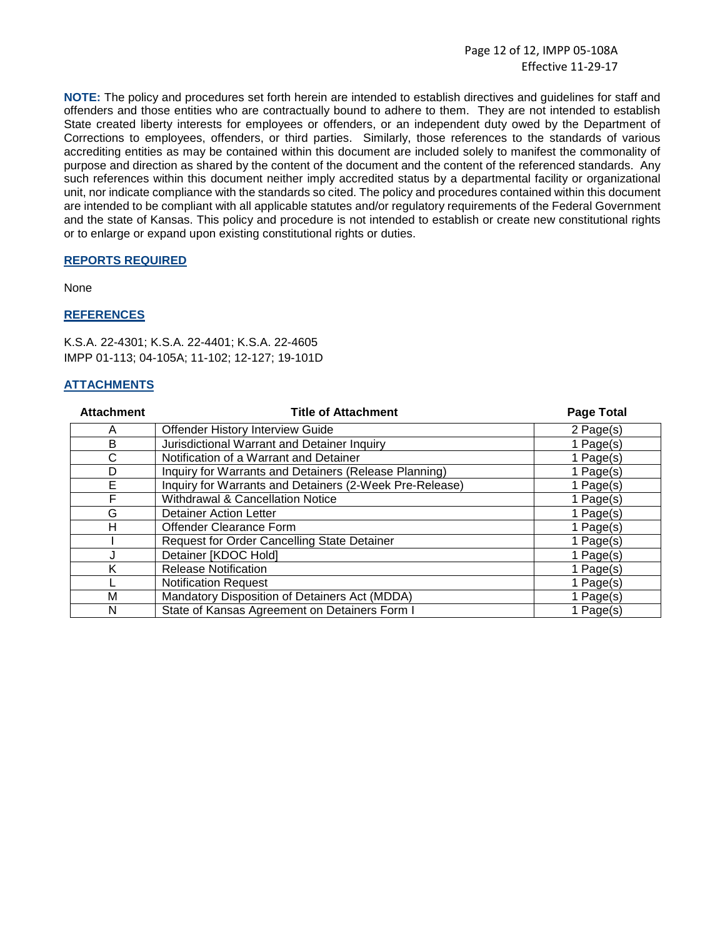Page 12 of 12, IMPP 05-108A Effective 11-29-17

**NOTE:** The policy and procedures set forth herein are intended to establish directives and guidelines for staff and offenders and those entities who are contractually bound to adhere to them. They are not intended to establish State created liberty interests for employees or offenders, or an independent duty owed by the Department of Corrections to employees, offenders, or third parties. Similarly, those references to the standards of various accrediting entities as may be contained within this document are included solely to manifest the commonality of purpose and direction as shared by the content of the document and the content of the referenced standards. Any such references within this document neither imply accredited status by a departmental facility or organizational unit, nor indicate compliance with the standards so cited. The policy and procedures contained within this document are intended to be compliant with all applicable statutes and/or regulatory requirements of the Federal Government and the state of Kansas. This policy and procedure is not intended to establish or create new constitutional rights or to enlarge or expand upon existing constitutional rights or duties.

# **REPORTS REQUIRED**

None

### **REFERENCES**

K.S.A. 22-4301; K.S.A. 22-4401; K.S.A. 22-4605 IMPP 01-113; 04-105A; 11-102; 12-127; 19-101D

# **ATTACHMENTS**

| <b>Attachment</b> | <b>Title of Attachment</b>                              | <b>Page Total</b> |
|-------------------|---------------------------------------------------------|-------------------|
| Α                 | Offender History Interview Guide                        | 2 Page(s)         |
| B                 | Jurisdictional Warrant and Detainer Inquiry             | 1 Page(s)         |
| C                 | Notification of a Warrant and Detainer                  | 1 Page(s)         |
| D                 | Inquiry for Warrants and Detainers (Release Planning)   | 1 Page(s)         |
| Е                 | Inquiry for Warrants and Detainers (2-Week Pre-Release) | 1 Page(s)         |
| F                 | <b>Withdrawal &amp; Cancellation Notice</b>             | 1 Page(s)         |
| G                 | Detainer Action Letter                                  | 1 Page(s)         |
| н                 | Offender Clearance Form                                 | 1 Page(s)         |
|                   | Request for Order Cancelling State Detainer             | 1 Page(s)         |
|                   | Detainer [KDOC Hold]                                    | 1 Page(s)         |
| Κ                 | <b>Release Notification</b>                             | 1 Page(s)         |
|                   | <b>Notification Request</b>                             | 1 Page(s)         |
| M                 | Mandatory Disposition of Detainers Act (MDDA)           | 1 Page(s)         |
| N                 | State of Kansas Agreement on Detainers Form I           | 1 Page(s)         |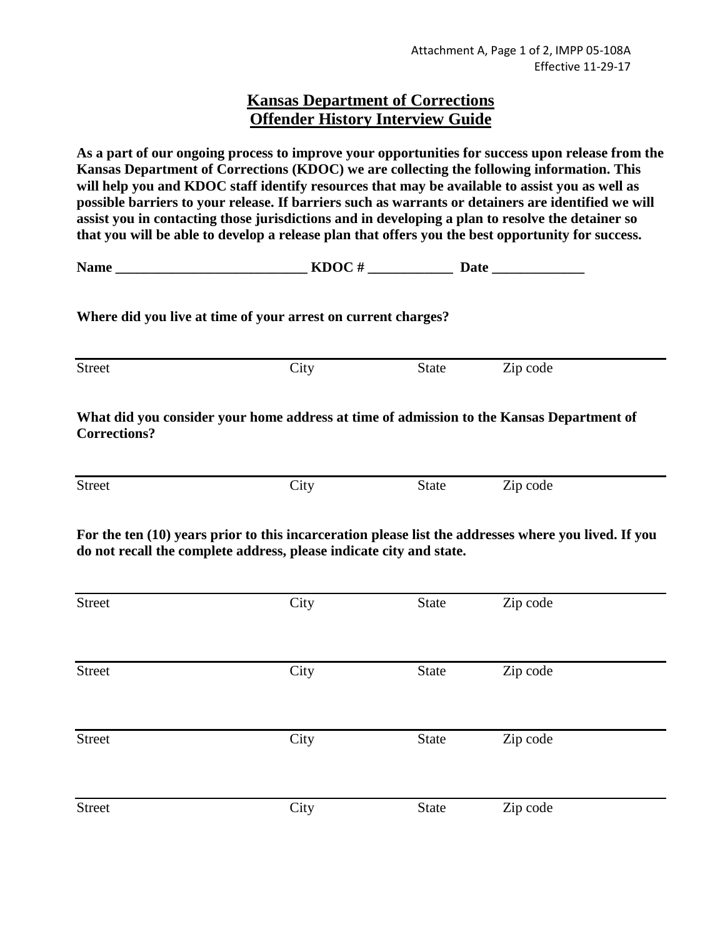# **Kansas Department of Corrections Offender History Interview Guide**

**As a part of our ongoing process to improve your opportunities for success upon release from the Kansas Department of Corrections (KDOC) we are collecting the following information. This will help you and KDOC staff identify resources that may be available to assist you as well as possible barriers to your release. If barriers such as warrants or detainers are identified we will assist you in contacting those jurisdictions and in developing a plan to resolve the detainer so that you will be able to develop a release plan that offers you the best opportunity for success.** 

| --- - -<br>Name<br>---- | . .<br>$\boldsymbol{\mathfrak{a}}\boldsymbol{\mathfrak{v}}$ |
|-------------------------|-------------------------------------------------------------|
|-------------------------|-------------------------------------------------------------|

**Where did you live at time of your arrest on current charges?** 

| <b>Street</b> | $\gamma_{\rm itv}$<br>UR) | <b>State</b> | Zip code |
|---------------|---------------------------|--------------|----------|
|               |                           |              |          |

**What did you consider your home address at time of admission to the Kansas Department of Corrections?** 

Street City City State Zip code

**For the ten (10) years prior to this incarceration please list the addresses where you lived. If you do not recall the complete address, please indicate city and state.** 

| Street        | City | <b>State</b> | Zip code |
|---------------|------|--------------|----------|
|               |      |              |          |
| <b>Street</b> | City | <b>State</b> | Zip code |
|               |      |              |          |
| Street        | City | <b>State</b> | Zip code |
|               |      |              |          |
| Street        | City | <b>State</b> | Zip code |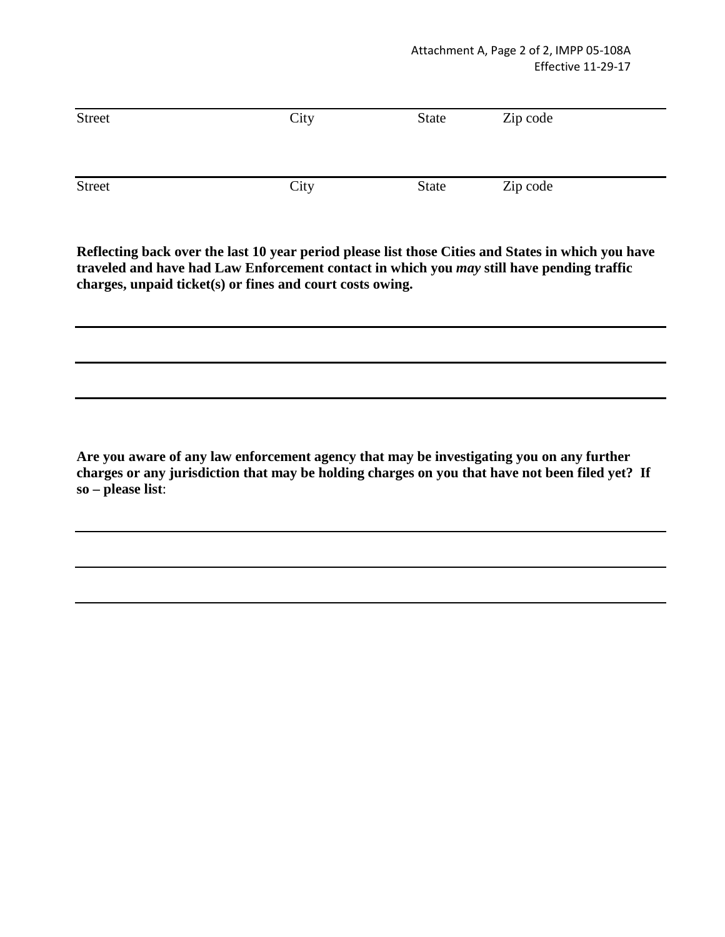| <b>Street</b> | City | <b>State</b> | Zip code |
|---------------|------|--------------|----------|
| <b>Street</b> | City | <b>State</b> | Zip code |

**Reflecting back over the last 10 year period please list those Cities and States in which you have traveled and have had Law Enforcement contact in which you** *may* **still have pending traffic charges, unpaid ticket(s) or fines and court costs owing.** 

**Are you aware of any law enforcement agency that may be investigating you on any further charges or any jurisdiction that may be holding charges on you that have not been filed yet? If so – please list**: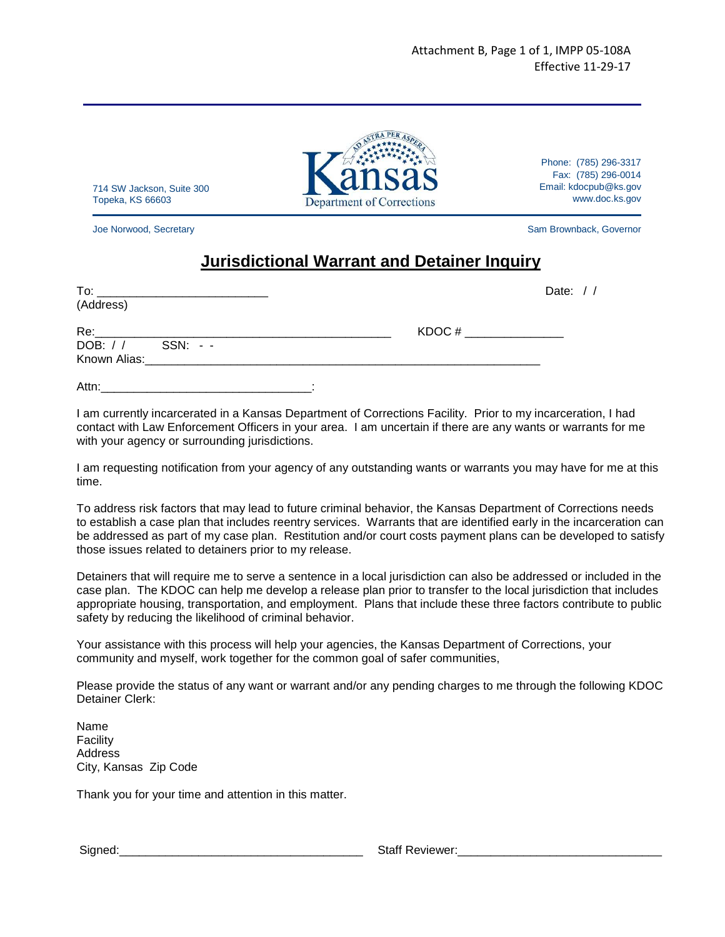

Phone: (785) 296-3317 Fax: (785) 296-0014 Email: kdocpub@ks.gov www.doc.ks.gov

714 SW Jackson, Suite 300 Topeka, KS 66603

Joe Norwood, Secretary Sam Brownback, Governor

# **Jurisdictional Warrant and Detainer Inquiry**

| To:               |                                                                                                                                                                                                                                |           | Date: $//$ |
|-------------------|--------------------------------------------------------------------------------------------------------------------------------------------------------------------------------------------------------------------------------|-----------|------------|
| (Address)         |                                                                                                                                                                                                                                |           |            |
|                   |                                                                                                                                                                                                                                | $KDOC \#$ |            |
| DOB: / / SSN: - - |                                                                                                                                                                                                                                |           |            |
|                   | Known Alias: And Alias: Alian Alias and Alias and Alias and Alias and Alias and Alias and Alias and Alias and Alias and Alias and Alias and Alias and Alias and Alias and Alias and Alias and Alias and Alias and Alias and Al |           |            |
| Attn:             |                                                                                                                                                                                                                                |           |            |

I am currently incarcerated in a Kansas Department of Corrections Facility. Prior to my incarceration, I had contact with Law Enforcement Officers in your area. I am uncertain if there are any wants or warrants for me with your agency or surrounding jurisdictions.

I am requesting notification from your agency of any outstanding wants or warrants you may have for me at this time.

To address risk factors that may lead to future criminal behavior, the Kansas Department of Corrections needs to establish a case plan that includes reentry services. Warrants that are identified early in the incarceration can be addressed as part of my case plan. Restitution and/or court costs payment plans can be developed to satisfy those issues related to detainers prior to my release.

Detainers that will require me to serve a sentence in a local jurisdiction can also be addressed or included in the case plan. The KDOC can help me develop a release plan prior to transfer to the local jurisdiction that includes appropriate housing, transportation, and employment. Plans that include these three factors contribute to public safety by reducing the likelihood of criminal behavior.

Your assistance with this process will help your agencies, the Kansas Department of Corrections, your community and myself, work together for the common goal of safer communities,

Please provide the status of any want or warrant and/or any pending charges to me through the following KDOC Detainer Clerk:

Name Facility Address City, Kansas Zip Code

Thank you for your time and attention in this matter.

Signed:\_\_\_\_\_\_\_\_\_\_\_\_\_\_\_\_\_\_\_\_\_\_\_\_\_\_\_\_\_\_\_\_\_\_\_\_\_ Staff Reviewer:\_\_\_\_\_\_\_\_\_\_\_\_\_\_\_\_\_\_\_\_\_\_\_\_\_\_\_\_\_\_\_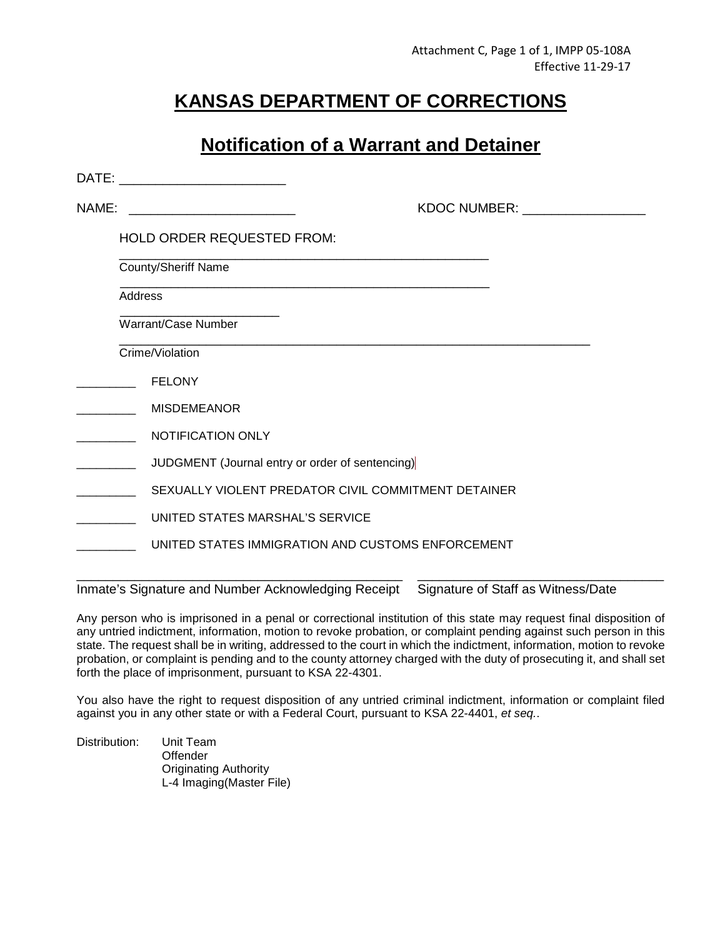# **KANSAS DEPARTMENT OF CORRECTIONS**

# **Notification of a Warrant and Detainer**

| DATE: | <u> 1989 - Johann Barbara, martxa amerikan per</u>  |  |
|-------|-----------------------------------------------------|--|
| NAME: | KDOC NUMBER: _________________                      |  |
|       | <b>HOLD ORDER REQUESTED FROM:</b>                   |  |
|       | <b>County/Sheriff Name</b>                          |  |
|       | Address                                             |  |
|       | Warrant/Case Number                                 |  |
|       | Crime/Violation                                     |  |
|       | <b>FELONY</b>                                       |  |
|       | <b>MISDEMEANOR</b>                                  |  |
|       | NOTIFICATION ONLY                                   |  |
|       | JUDGMENT (Journal entry or order of sentencing)     |  |
|       | SEXUALLY VIOLENT PREDATOR CIVIL COMMITMENT DETAINER |  |
|       | UNITED STATES MARSHAL'S SERVICE                     |  |
|       | UNITED STATES IMMIGRATION AND CUSTOMS ENFORCEMENT   |  |
|       |                                                     |  |

Inmate's Signature and Number Acknowledging Receipt Signature of Staff as Witness/Date

Any person who is imprisoned in a penal or correctional institution of this state may request final disposition of any untried indictment, information, motion to revoke probation, or complaint pending against such person in this state. The request shall be in writing, addressed to the court in which the indictment, information, motion to revoke probation, or complaint is pending and to the county attorney charged with the duty of prosecuting it, and shall set forth the place of imprisonment, pursuant to KSA 22-4301.

You also have the right to request disposition of any untried criminal indictment, information or complaint filed against you in any other state or with a Federal Court, pursuant to KSA 22-4401, et seq..

Distribution: Unit Team **Offender** Originating Authority L-4 Imaging(Master File)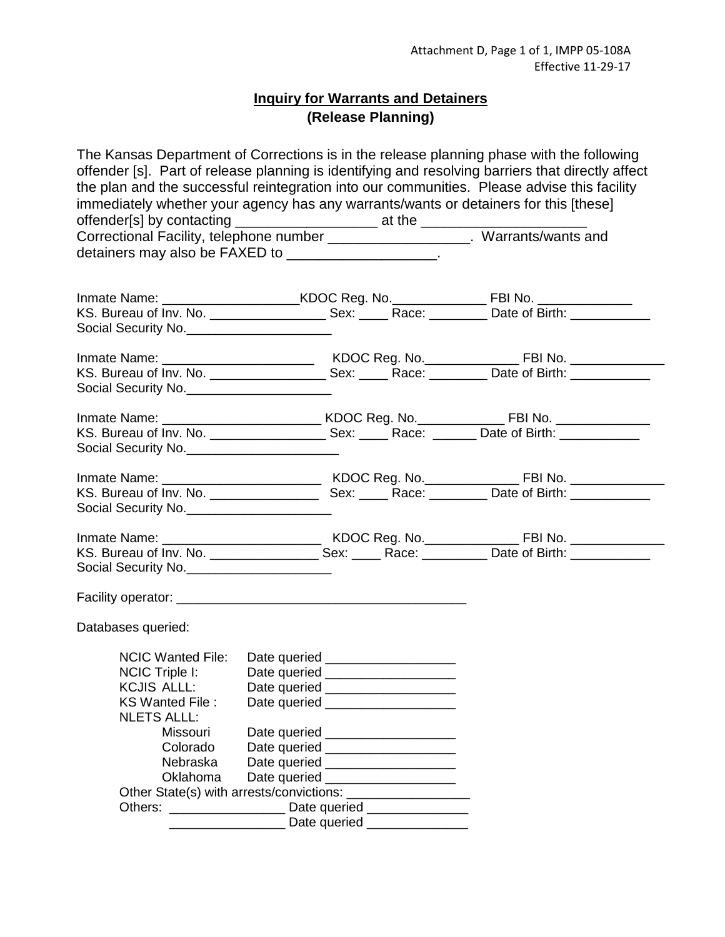# **Inquiry for Warrants and Detainers (Release Planning)**

The Kansas Department of Corrections is in the release planning phase with the following offender [s]. Part of release planning is identifying and resolving barriers that directly affect the plan and the successful reintegration into our communities. Please advise this facility immediately whether your agency has any warrants/wants or detainers for this [these] offender[s] by contacting \_\_\_\_\_\_\_\_\_\_\_\_\_\_\_\_\_\_\_\_\_\_\_\_ at the \_\_\_\_\_\_\_\_\_\_\_\_\_\_\_\_\_\_\_\_\_\_ Correctional Facility, telephone number \_\_\_\_\_\_\_\_\_\_\_\_\_\_\_\_\_\_. Warrants/wants and detainers may also be FAXED to \_\_\_\_\_\_\_\_\_\_\_\_\_\_\_\_\_\_\_\_.

| KS. Bureau of Inv. No. _______________________Sex: ________Race: ___________Date of Birth: _______________ |  |  |
|------------------------------------------------------------------------------------------------------------|--|--|
| Social Security No.                                                                                        |  |  |
|                                                                                                            |  |  |
|                                                                                                            |  |  |
| Social Security No.                                                                                        |  |  |
|                                                                                                            |  |  |
|                                                                                                            |  |  |
| KS. Bureau of Inv. No. _______________________ Sex: _______ Race: ________ Date of Birth: _______________  |  |  |
| Social Security No.                                                                                        |  |  |
|                                                                                                            |  |  |
|                                                                                                            |  |  |
| Social Security No.                                                                                        |  |  |
|                                                                                                            |  |  |
|                                                                                                            |  |  |
| KS. Bureau of Inv. No. _______________________Sex: ________Race: ____________Date of Birth: ______________ |  |  |
| Social Security No.                                                                                        |  |  |
|                                                                                                            |  |  |
|                                                                                                            |  |  |
| Databases queried:                                                                                         |  |  |
|                                                                                                            |  |  |
| <b>NCIC Wanted File:</b><br>Date queried ______________________                                            |  |  |
| NCIC Triple I:<br>Date queried ____________________                                                        |  |  |
| KCJIS ALLL:<br>Date queried ___________________                                                            |  |  |
| KS Wanted File:<br>Date queried ___________________                                                        |  |  |
| <b>NLETS ALLL:</b>                                                                                         |  |  |
| Missouri<br>Date queried _____________________                                                             |  |  |
| Colorado<br>Date queried ___________________                                                               |  |  |
| Nebraska<br>Date queried ____________________<br>Oklahoma<br>Date queried ___________________              |  |  |
|                                                                                                            |  |  |
| Others: _________________________ Date queried _________________________________                           |  |  |
| _____ Date queried ____________                                                                            |  |  |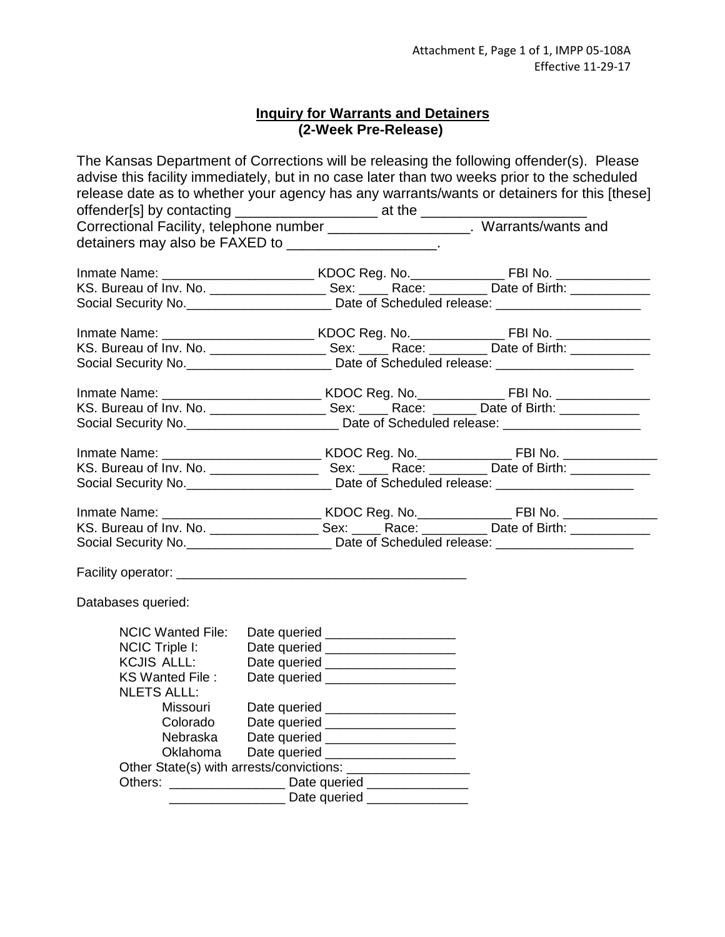# **Inquiry for Warrants and Detainers (2-Week Pre-Release)**

| The Kansas Department of Corrections will be releasing the following offender(s). Please<br>advise this facility immediately, but in no case later than two weeks prior to the scheduled<br>release date as to whether your agency has any warrants/wants or detainers for this [these]<br>offender[s] by contacting _________________________ at the _____________________ |                                     |                              |  |
|-----------------------------------------------------------------------------------------------------------------------------------------------------------------------------------------------------------------------------------------------------------------------------------------------------------------------------------------------------------------------------|-------------------------------------|------------------------------|--|
| Correctional Facility, telephone number ____________________. Warrants/wants and                                                                                                                                                                                                                                                                                            |                                     |                              |  |
| detainers may also be FAXED to _____________________.                                                                                                                                                                                                                                                                                                                       |                                     |                              |  |
|                                                                                                                                                                                                                                                                                                                                                                             |                                     |                              |  |
|                                                                                                                                                                                                                                                                                                                                                                             |                                     |                              |  |
| Social Security No. _____________________________ Date of Scheduled release: _______________________                                                                                                                                                                                                                                                                        |                                     |                              |  |
|                                                                                                                                                                                                                                                                                                                                                                             |                                     |                              |  |
| KS. Bureau of Inv. No. ________________________Sex: ________Race: __________ Date of Birth: ______________                                                                                                                                                                                                                                                                  |                                     |                              |  |
| Social Security No. ____________________________ Date of Scheduled release: _______________________                                                                                                                                                                                                                                                                         |                                     |                              |  |
|                                                                                                                                                                                                                                                                                                                                                                             |                                     |                              |  |
| KS. Bureau of Inv. No. ________________________ Sex: ________ Race: ________ Date of Birth: ______________                                                                                                                                                                                                                                                                  |                                     |                              |  |
| Social Security No. _______________________________ Date of Scheduled release: ____________________                                                                                                                                                                                                                                                                         |                                     |                              |  |
|                                                                                                                                                                                                                                                                                                                                                                             |                                     |                              |  |
|                                                                                                                                                                                                                                                                                                                                                                             |                                     |                              |  |
| Social Security No. ______________________________Date of Scheduled release: _______________________                                                                                                                                                                                                                                                                        |                                     |                              |  |
|                                                                                                                                                                                                                                                                                                                                                                             |                                     |                              |  |
| KS. Bureau of Inv. No. _______________________Sex: _______Race: ____________Date of Birth: _______________                                                                                                                                                                                                                                                                  |                                     |                              |  |
| Social Security No. __________________________ Date of Scheduled release: _________________________                                                                                                                                                                                                                                                                         |                                     |                              |  |
|                                                                                                                                                                                                                                                                                                                                                                             |                                     |                              |  |
| Databases queried:                                                                                                                                                                                                                                                                                                                                                          |                                     |                              |  |
| NCIC Wanted File: Date queried ___________________                                                                                                                                                                                                                                                                                                                          |                                     |                              |  |
| $NCIC$ Triple I:                                                                                                                                                                                                                                                                                                                                                            | Date queried ______________________ |                              |  |
| KCJIS ALLL:                                                                                                                                                                                                                                                                                                                                                                 | Date queried _____________________  |                              |  |
| KS Wanted File :                                                                                                                                                                                                                                                                                                                                                            | Date queried _____                  |                              |  |
| <b>NLETS ALLL:</b>                                                                                                                                                                                                                                                                                                                                                          |                                     |                              |  |
| Missouri                                                                                                                                                                                                                                                                                                                                                                    | Date queried ____________________   |                              |  |
| Colorado                                                                                                                                                                                                                                                                                                                                                                    | Date queried ____________________   |                              |  |
| Nebraska                                                                                                                                                                                                                                                                                                                                                                    | Date queried ______________________ |                              |  |
| Oklahoma                                                                                                                                                                                                                                                                                                                                                                    | Date queried ______________________ |                              |  |
| Others: _________________________ Date queried _________________________________                                                                                                                                                                                                                                                                                            |                                     |                              |  |
|                                                                                                                                                                                                                                                                                                                                                                             |                                     | Date queried _______________ |  |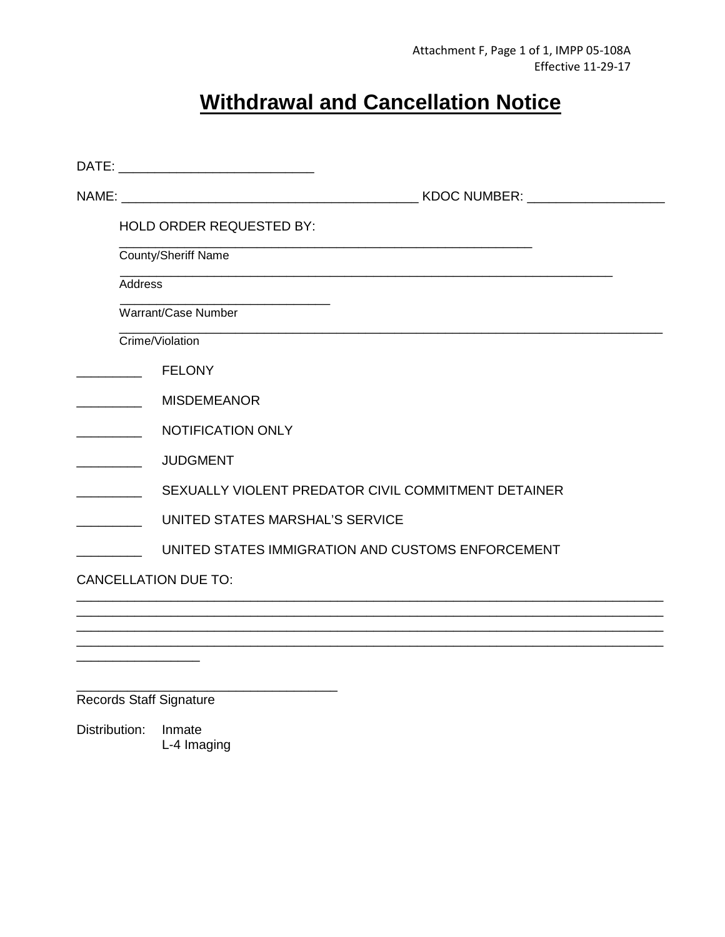# **Withdrawal and Cancellation Notice**

|                                | HOLD ORDER REQUESTED BY:                            |
|--------------------------------|-----------------------------------------------------|
|                                | County/Sheriff Name                                 |
| <b>Address</b>                 |                                                     |
|                                | Warrant/Case Number                                 |
| Crime/Violation                |                                                     |
|                                | <b>FELONY</b>                                       |
|                                | <b>MISDEMEANOR</b>                                  |
|                                | <b>NOTIFICATION ONLY</b>                            |
|                                | <b>JUDGMENT</b>                                     |
|                                | SEXUALLY VIOLENT PREDATOR CIVIL COMMITMENT DETAINER |
|                                | UNITED STATES MARSHAL'S SERVICE                     |
|                                | UNITED STATES IMMIGRATION AND CUSTOMS ENFORCEMENT   |
| <b>CANCELLATION DUE TO:</b>    |                                                     |
|                                |                                                     |
|                                |                                                     |
|                                |                                                     |
| <b>Records Staff Signature</b> |                                                     |
| Distribution:                  | Inmate                                              |

L-4 Imaging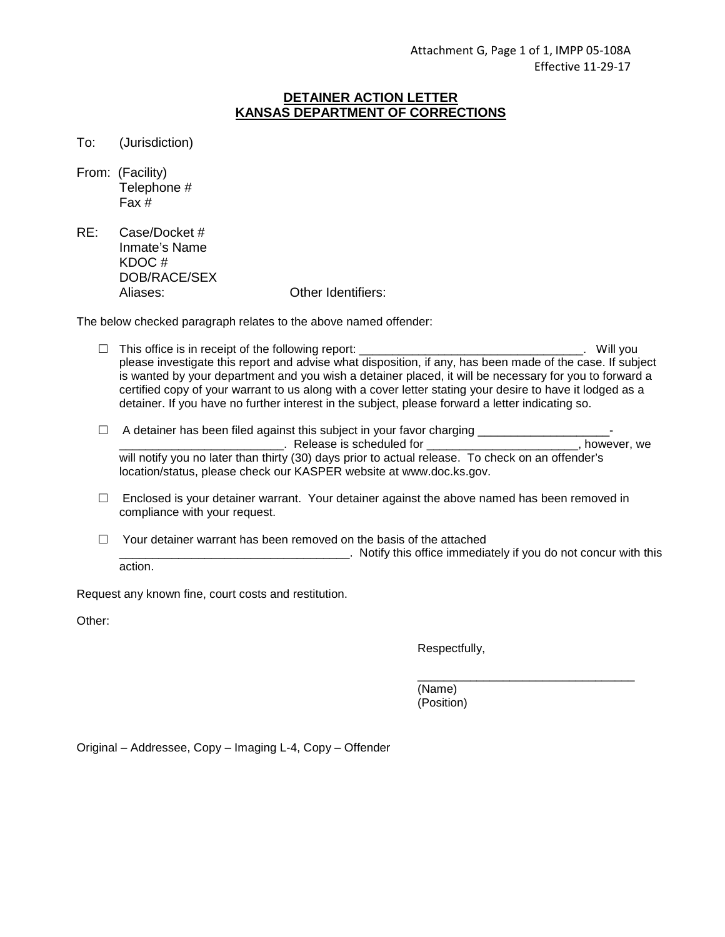# **DETAINER ACTION LETTER KANSAS DEPARTMENT OF CORRECTIONS**

To: (Jurisdiction)

| From: (Facility) |
|------------------|
| Telephone #      |
| Fax #            |

RE: Case/Docket # Inmate's Name KDOC # DOB/RACE/SEX Aliases: Other Identifiers:

The below checked paragraph relates to the above named offender:

- $\Box$  This office is in receipt of the following report:  $\Box$  This office is in receipt of the following report: please investigate this report and advise what disposition, if any, has been made of the case. If subject is wanted by your department and you wish a detainer placed, it will be necessary for you to forward a certified copy of your warrant to us along with a cover letter stating your desire to have it lodged as a detainer. If you have no further interest in the subject, please forward a letter indicating so.
- A detainer has been filed against this subject in your favor charging \_\_\_\_\_\_\_\_\_\_\_\_\_\_\_\_\_\_\_\_- LECTTLE Entertainment controlled for the settlement of the settlement of the settlement of the settlement of the settlement of the settlement of the settlement of the settlement of the settlement of the settlement of the s will notify you no later than thirty (30) days prior to actual release. To check on an offender's location/status, please check our KASPER website at www.doc.ks.gov.
- $\Box$  Enclosed is your detainer warrant. Your detainer against the above named has been removed in compliance with your request.
- $\Box$  Your detainer warrant has been removed on the basis of the attached  $\Box$ . Notify this office immediately if you do not concur with this action.

Request any known fine, court costs and restitution.

Other:

Respectfully,

 \_\_\_\_\_\_\_\_\_\_\_\_\_\_\_\_\_\_\_\_\_\_\_\_\_\_\_\_\_\_\_\_\_ (Name) (Position)

Original – Addressee, Copy – Imaging L-4, Copy – Offender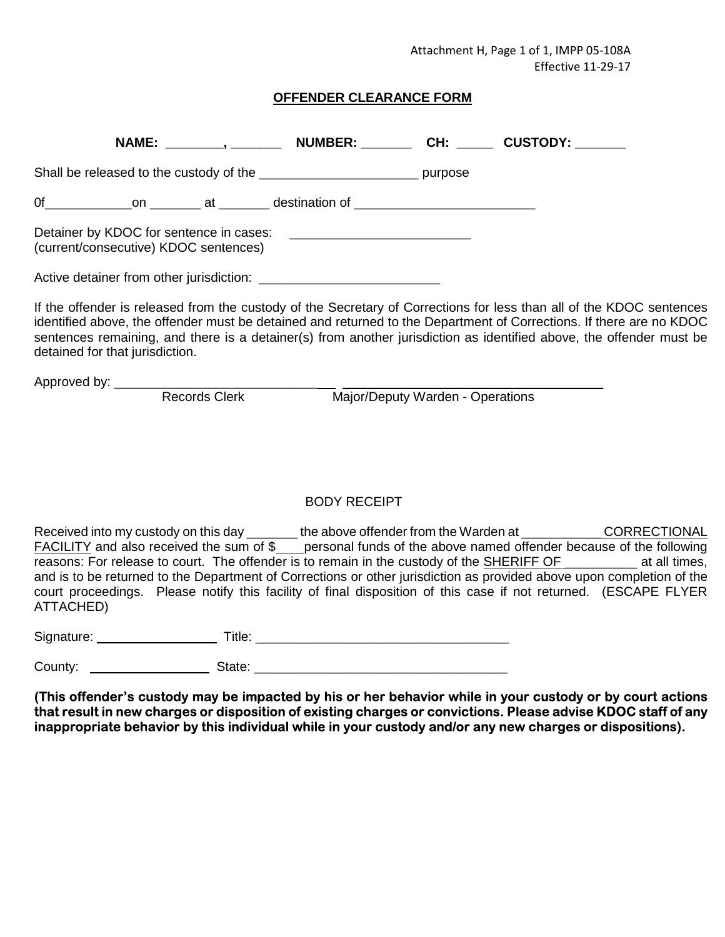Attachment H, Page 1 of 1, IMPP 05-108A Effective 11-29-17

# **OFFENDER CLEARANCE FORM**

|                                 |                                       | NAME: ________, _________ NUMBER: ________ CH: ______ CUSTODY: _______                                                                                                                                                                                                                                                                                                                                                                                                                                                                                                                                                   |                                  |  |
|---------------------------------|---------------------------------------|--------------------------------------------------------------------------------------------------------------------------------------------------------------------------------------------------------------------------------------------------------------------------------------------------------------------------------------------------------------------------------------------------------------------------------------------------------------------------------------------------------------------------------------------------------------------------------------------------------------------------|----------------------------------|--|
|                                 |                                       | Shall be released to the custody of the _______________________________ purpose                                                                                                                                                                                                                                                                                                                                                                                                                                                                                                                                          |                                  |  |
|                                 |                                       |                                                                                                                                                                                                                                                                                                                                                                                                                                                                                                                                                                                                                          |                                  |  |
|                                 | (current/consecutive) KDOC sentences) |                                                                                                                                                                                                                                                                                                                                                                                                                                                                                                                                                                                                                          |                                  |  |
|                                 |                                       |                                                                                                                                                                                                                                                                                                                                                                                                                                                                                                                                                                                                                          |                                  |  |
| detained for that jurisdiction. |                                       | If the offender is released from the custody of the Secretary of Corrections for less than all of the KDOC sentences<br>identified above, the offender must be detained and returned to the Department of Corrections. If there are no KDOC<br>sentences remaining, and there is a detainer(s) from another jurisdiction as identified above, the offender must be                                                                                                                                                                                                                                                       |                                  |  |
|                                 | <b>Records Clerk</b>                  |                                                                                                                                                                                                                                                                                                                                                                                                                                                                                                                                                                                                                          | Major/Deputy Warden - Operations |  |
|                                 |                                       |                                                                                                                                                                                                                                                                                                                                                                                                                                                                                                                                                                                                                          |                                  |  |
|                                 |                                       | <b>BODY RECEIPT</b>                                                                                                                                                                                                                                                                                                                                                                                                                                                                                                                                                                                                      |                                  |  |
| ATTACHED)                       |                                       | Received into my custody on this day ________ the above offender from the Warden at ____________CORRECTIONAL<br><b>FACILITY</b> and also received the sum of \$<br>personal funds of the above named offender because of the SACIII and helpwing<br>reasons: For release to court. The offender is to remain in the custody of the <b>SHERIFF OF</b> _________ at all times,<br>and is to be returned to the Department of Corrections or other jurisdiction as provided above upon completion of the<br>court proceedings. Please notify this facility of final disposition of this case if not returned. (ESCAPE FLYER |                                  |  |
|                                 |                                       |                                                                                                                                                                                                                                                                                                                                                                                                                                                                                                                                                                                                                          |                                  |  |

| iate |  |
|------|--|
|      |  |

**(This offender's custody may be impacted by his or her behavior while in your custody or by court actions that result in new charges or disposition of existing charges or convictions. Please advise KDOC staff of any inappropriate behavior by this individual while in your custody and/or any new charges or dispositions).**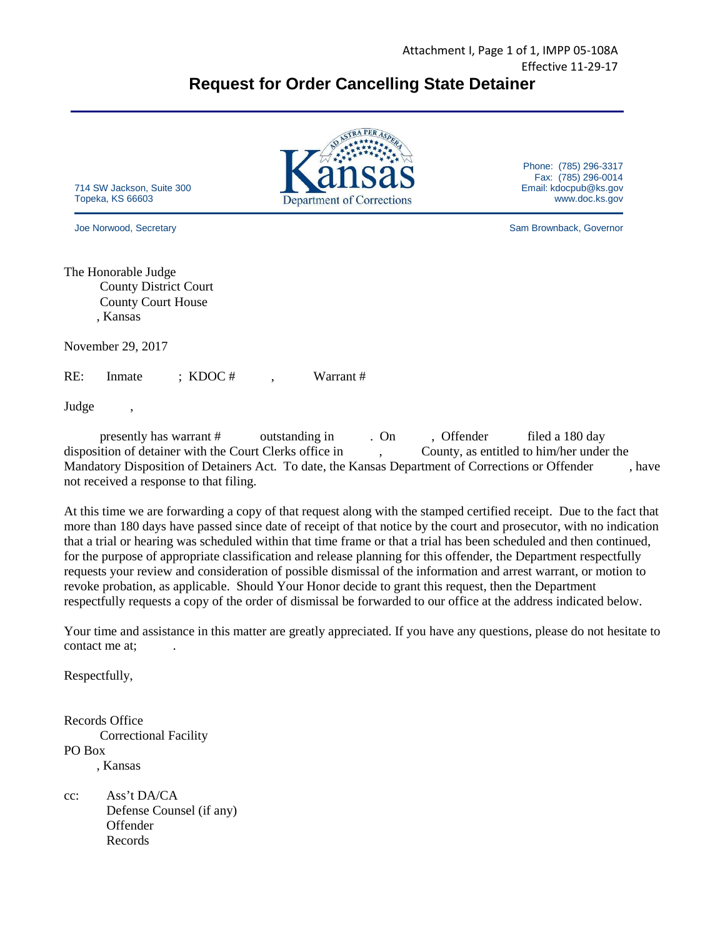

Judge ,

 presently has warrant # outstanding in . On , Offender filed a 180 day disposition of detainer with the Court Clerks office in , County, as entitled to him/her under the Mandatory Disposition of Detainers Act. To date, the Kansas Department of Corrections or Offender , have not received a response to that filing.

At this time we are forwarding a copy of that request along with the stamped certified receipt. Due to the fact that more than 180 days have passed since date of receipt of that notice by the court and prosecutor, with no indication that a trial or hearing was scheduled within that time frame or that a trial has been scheduled and then continued, for the purpose of appropriate classification and release planning for this offender, the Department respectfully requests your review and consideration of possible dismissal of the information and arrest warrant, or motion to revoke probation, as applicable. Should Your Honor decide to grant this request, then the Department respectfully requests a copy of the order of dismissal be forwarded to our office at the address indicated below.

Your time and assistance in this matter are greatly appreciated. If you have any questions, please do not hesitate to contact me at:

Respectfully,

Records Office Correctional Facility PO Box , Kansas

cc: Ass't DA/CA Defense Counsel (if any) Offender Records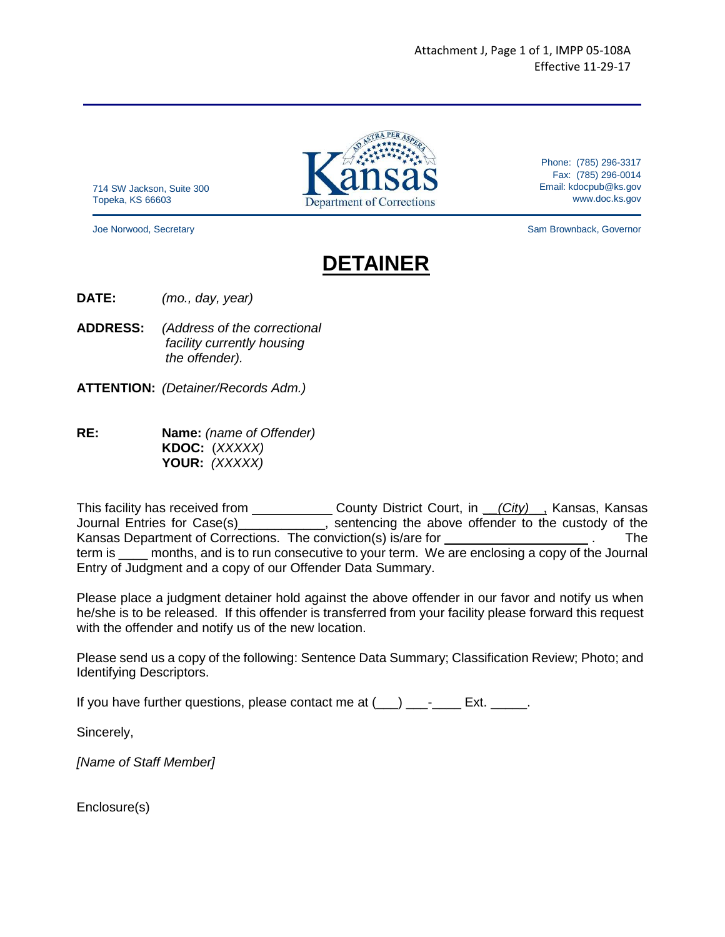714 SW Jackson, Suite 300 Topeka, KS 66603

Phone: (785) 296-3317 Fax: (785) 296-0014 Email: kdocpub@ks.gov www.doc.ks.gov

Joe Norwood, Secretary Sam Brownback, Governor

# **DETAINER**

**DATE:** (mo., day, year)

- **ADDRESS:** (Address of the correctional facility currently housing the offender).
- **ATTENTION:** (Detainer/Records Adm.)
- **RE: Name:** (name of Offender) KDOC: (XXXXX) YOUR: (XXXXX)

This facility has received from \_\_\_\_\_\_\_\_\_\_\_\_\_\_ County District Court, in \_\_(City)\_\_, Kansas, Kansas Journal Entries for Case(s) \_\_\_\_\_\_\_\_\_\_\_, sentencing the above offender to the custody of the Kansas Department of Corrections. The conviction(s) is/are for \_\_\_\_\_\_\_\_\_\_\_\_\_\_\_\_\_\_\_\_. The term is \_\_\_\_ months, and is to run consecutive to your term. We are enclosing a copy of the Journal Entry of Judgment and a copy of our Offender Data Summary.

Please place a judgment detainer hold against the above offender in our favor and notify us when he/she is to be released. If this offender is transferred from your facility please forward this request with the offender and notify us of the new location.

Please send us a copy of the following: Sentence Data Summary; Classification Review; Photo; and Identifying Descriptors.

If you have further questions, please contact me at  $(\_\_\_\_\_\_\_\_\_\_\_\_\_\_\_\$  Ext.  $\_\_\_\_\_\_\$ 

Sincerely,

[Name of Staff Member]

Enclosure(s)

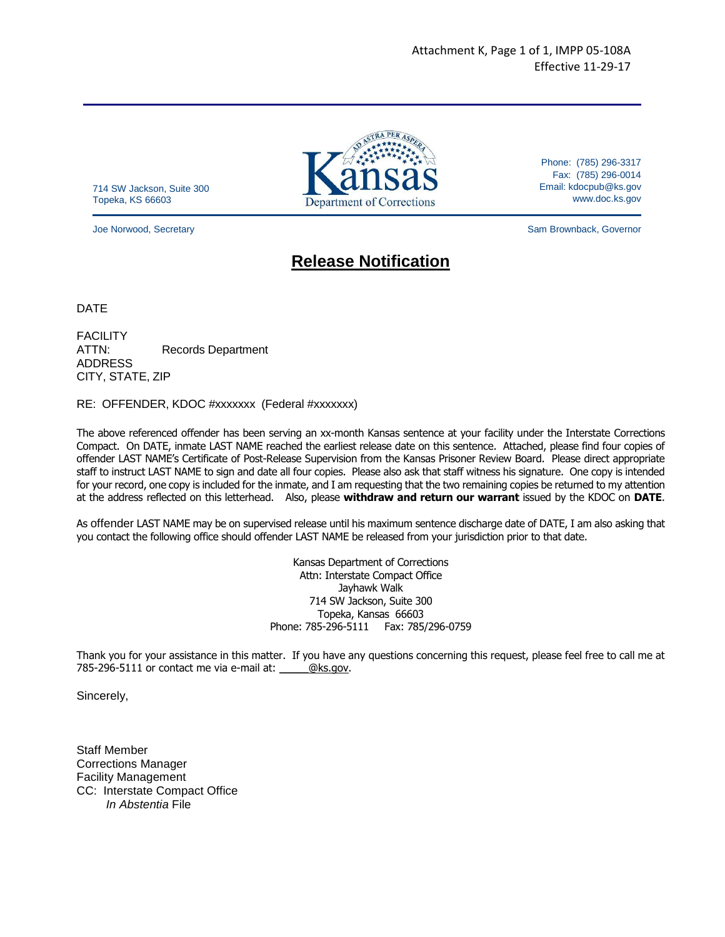714 SW Jackson, Suite 300 Topeka, KS 66603

Phone: (785) 296-3317 Fax: (785) 296-0014 Email: kdocpub@ks.gov www.doc.ks.gov

Joe Norwood, Secretary Sam Brownback, Governor

# **Release Notification**

DATE

**FACILITY** ATTN: Records Department ADDRESS CITY, STATE, ZIP

#### RE: OFFENDER, KDOC #xxxxxxx (Federal #xxxxxxx)

The above referenced offender has been serving an xx-month Kansas sentence at your facility under the Interstate Corrections Compact. On DATE, inmate LAST NAME reached the earliest release date on this sentence. Attached, please find four copies of offender LAST NAME's Certificate of Post-Release Supervision from the Kansas Prisoner Review Board. Please direct appropriate staff to instruct LAST NAME to sign and date all four copies. Please also ask that staff witness his signature. One copy is intended for your record, one copy is included for the inmate, and I am requesting that the two remaining copies be returned to my attention at the address reflected on this letterhead. Also, please **withdraw and return our warrant** issued by the KDOC on **DATE**.

As offender LAST NAME may be on supervised release until his maximum sentence discharge date of DATE, I am also asking that you contact the following office should offender LAST NAME be released from your jurisdiction prior to that date.

> Kansas Department of Corrections Attn: Interstate Compact Office Jayhawk Walk 714 SW Jackson, Suite 300 Topeka, Kansas 66603 Phone: 785-296-5111 Fax: 785/296-0759

Thank you for your assistance in this matter. If you have any questions concerning this request, please feel free to call me at 785-296-5111 or contact me via e-mail at: \_\_\_\_\_@ks.gov.

Sincerely,

Staff Member Corrections Manager Facility Management CC: Interstate Compact Office In Abstentia File

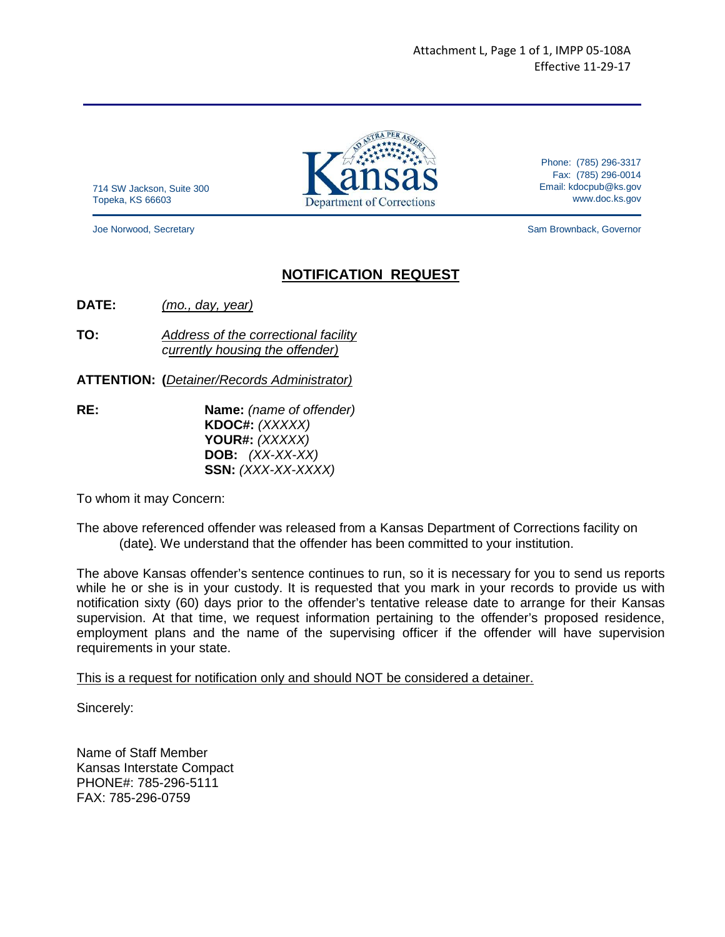714 SW Jackson, Suite 300 Topeka, KS 66603

Phone: (785) 296-3317 Fax: (785) 296-0014 Email: kdocpub@ks.gov www.doc.ks.gov

Joe Norwood, Secretary Sam Brownback, Governor

# **NOTIFICATION REQUEST**

**DATE:** (mo., day, year)

**TO:** Address of the correctional facility currently housing the offender)

**ATTENTION: (**Detainer/Records Administrator)

**RE:** Name: (name of offender)  **KDOC#:** (XXXXX)  **YOUR#:** (XXXXX) **DOB:** (XX-XX-XX) **SSN:** (XXX-XX-XXXX)

To whom it may Concern:

The above referenced offender was released from a Kansas Department of Corrections facility on (date). We understand that the offender has been committed to your institution.

The above Kansas offender's sentence continues to run, so it is necessary for you to send us reports while he or she is in your custody. It is requested that you mark in your records to provide us with notification sixty (60) days prior to the offender's tentative release date to arrange for their Kansas supervision. At that time, we request information pertaining to the offender's proposed residence, employment plans and the name of the supervising officer if the offender will have supervision requirements in your state.

This is a request for notification only and should NOT be considered a detainer.

Sincerely:

Name of Staff Member Kansas Interstate Compact PHONE#: 785-296-5111 FAX: 785-296-0759

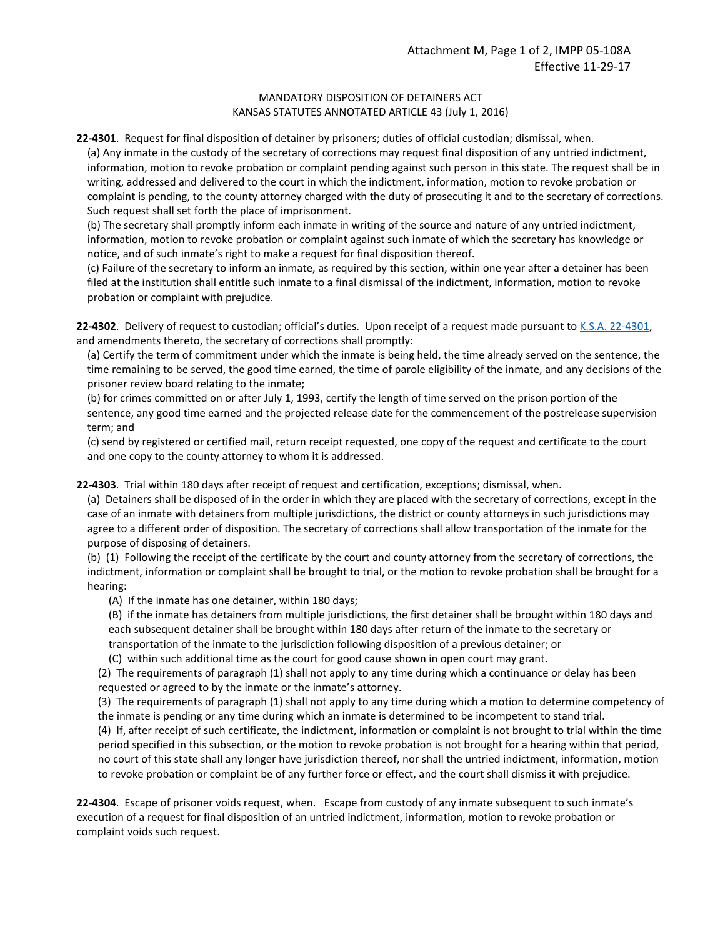# MANDATORY DISPOSITION OF DETAINERS ACT KANSAS STATUTES ANNOTATED ARTICLE 43 (July 1, 2016)

**22-4301**. Request for final disposition of detainer by prisoners; duties of official custodian; dismissal, when.

(a) Any inmate in the custody of the secretary of corrections may request final disposition of any untried indictment, information, motion to revoke probation or complaint pending against such person in this state. The request shall be in writing, addressed and delivered to the court in which the indictment, information, motion to revoke probation or complaint is pending, to the county attorney charged with the duty of prosecuting it and to the secretary of corrections. Such request shall set forth the place of imprisonment.

(b) The secretary shall promptly inform each inmate in writing of the source and nature of any untried indictment, information, motion to revoke probation or complaint against such inmate of which the secretary has knowledge or notice, and of such inmate's right to make a request for final disposition thereof.

(c) Failure of the secretary to inform an inmate, as required by this section, within one year after a detainer has been filed at the institution shall entitle such inmate to a final dismissal of the indictment, information, motion to revoke probation or complaint with prejudice.

**22-4302**. Delivery of request to custodian; official's duties. Upon receipt of a request made pursuant to K.S.A. 22-4301, and amendments thereto, the secretary of corrections shall promptly:

(a) Certify the term of commitment under which the inmate is being held, the time already served on the sentence, the time remaining to be served, the good time earned, the time of parole eligibility of the inmate, and any decisions of the prisoner review board relating to the inmate;

(b) for crimes committed on or after July 1, 1993, certify the length of time served on the prison portion of the sentence, any good time earned and the projected release date for the commencement of the postrelease supervision term; and

(c) send by registered or certified mail, return receipt requested, one copy of the request and certificate to the court and one copy to the county attorney to whom it is addressed.

**22-4303**. Trial within 180 days after receipt of request and certification, exceptions; dismissal, when.

(a) Detainers shall be disposed of in the order in which they are placed with the secretary of corrections, except in the case of an inmate with detainers from multiple jurisdictions, the district or county attorneys in such jurisdictions may agree to a different order of disposition. The secretary of corrections shall allow transportation of the inmate for the purpose of disposing of detainers.

(b) (1) Following the receipt of the certificate by the court and county attorney from the secretary of corrections, the indictment, information or complaint shall be brought to trial, or the motion to revoke probation shall be brought for a hearing:

(A) If the inmate has one detainer, within 180 days;

(B) if the inmate has detainers from multiple jurisdictions, the first detainer shall be brought within 180 days and each subsequent detainer shall be brought within 180 days after return of the inmate to the secretary or transportation of the inmate to the jurisdiction following disposition of a previous detainer; or

(C) within such additional time as the court for good cause shown in open court may grant.

(2) The requirements of paragraph (1) shall not apply to any time during which a continuance or delay has been requested or agreed to by the inmate or the inmate's attorney.

(3) The requirements of paragraph (1) shall not apply to any time during which a motion to determine competency of the inmate is pending or any time during which an inmate is determined to be incompetent to stand trial.

(4) If, after receipt of such certificate, the indictment, information or complaint is not brought to trial within the time period specified in this subsection, or the motion to revoke probation is not brought for a hearing within that period, no court of this state shall any longer have jurisdiction thereof, nor shall the untried indictment, information, motion to revoke probation or complaint be of any further force or effect, and the court shall dismiss it with prejudice.

**22-4304**. Escape of prisoner voids request, when. Escape from custody of any inmate subsequent to such inmate's execution of a request for final disposition of an untried indictment, information, motion to revoke probation or complaint voids such request.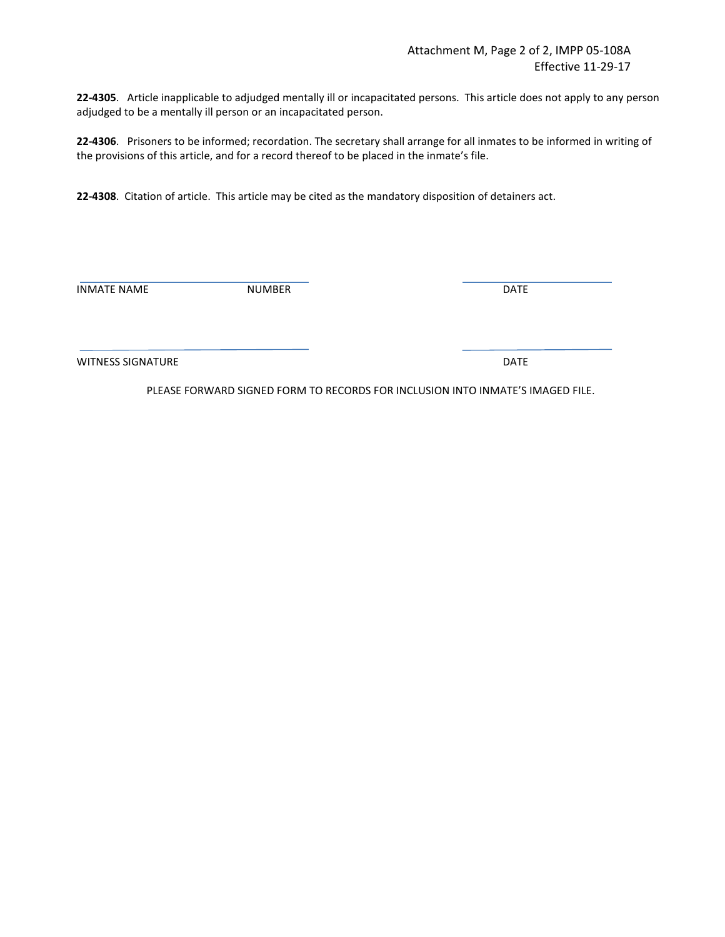**22-4305**. Article inapplicable to adjudged mentally ill or incapacitated persons. This article does not apply to any person adjudged to be a mentally ill person or an incapacitated person.

**22-4306**. Prisoners to be informed; recordation. The secretary shall arrange for all inmates to be informed in writing of the provisions of this article, and for a record thereof to be placed in the inmate's file.

**22-4308**. Citation of article. This article may be cited as the mandatory disposition of detainers act.

INMATE NAME NUMBER DATE

WITNESS SIGNATURE **DATE** 

PLEASE FORWARD SIGNED FORM TO RECORDS FOR INCLUSION INTO INMATE'S IMAGED FILE.